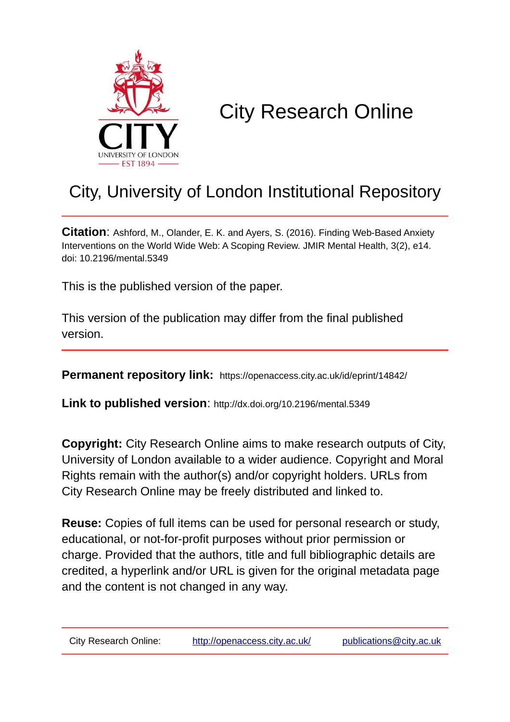

# City Research Online

# City, University of London Institutional Repository

**Citation**: Ashford, M., Olander, E. K. and Ayers, S. (2016). Finding Web-Based Anxiety Interventions on the World Wide Web: A Scoping Review. JMIR Mental Health, 3(2), e14. doi: 10.2196/mental.5349

This is the published version of the paper.

This version of the publication may differ from the final published version.

**Permanent repository link:** https://openaccess.city.ac.uk/id/eprint/14842/

**Link to published version**: http://dx.doi.org/10.2196/mental.5349

**Copyright:** City Research Online aims to make research outputs of City, University of London available to a wider audience. Copyright and Moral Rights remain with the author(s) and/or copyright holders. URLs from City Research Online may be freely distributed and linked to.

**Reuse:** Copies of full items can be used for personal research or study, educational, or not-for-profit purposes without prior permission or charge. Provided that the authors, title and full bibliographic details are credited, a hyperlink and/or URL is given for the original metadata page and the content is not changed in any way.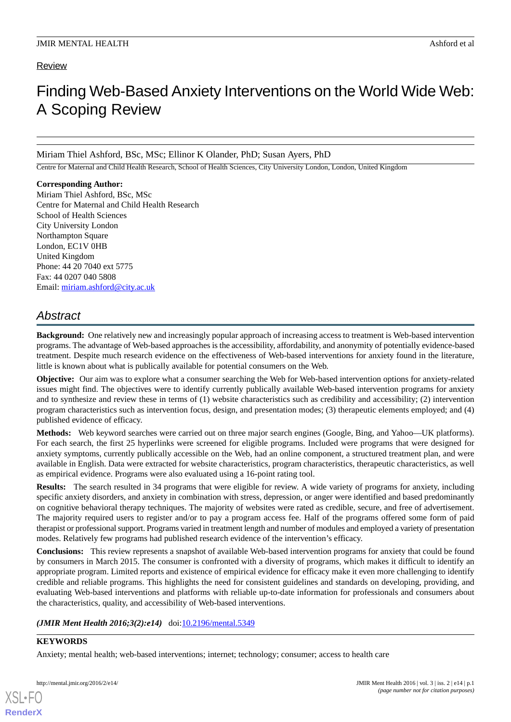# Review

# Finding Web-Based Anxiety Interventions on the World Wide Web: A Scoping Review

Miriam Thiel Ashford, BSc, MSc; Ellinor K Olander, PhD; Susan Ayers, PhD

Centre for Maternal and Child Health Research, School of Health Sciences, City University London, London, United Kingdom

#### **Corresponding Author:**

Miriam Thiel Ashford, BSc, MSc Centre for Maternal and Child Health Research School of Health Sciences City University London Northampton Square London, EC1V 0HB United Kingdom Phone: 44 20 7040 ext 5775 Fax: 44 0207 040 5808 Email: [miriam.ashford@city.ac.uk](mailto:miriam.ashford@city.ac.uk)

# *Abstract*

**Background:** One relatively new and increasingly popular approach of increasing access to treatment is Web-based intervention programs. The advantage of Web-based approaches is the accessibility, affordability, and anonymity of potentially evidence-based treatment. Despite much research evidence on the effectiveness of Web-based interventions for anxiety found in the literature, little is known about what is publically available for potential consumers on the Web.

**Objective:** Our aim was to explore what a consumer searching the Web for Web-based intervention options for anxiety-related issues might find. The objectives were to identify currently publically available Web-based intervention programs for anxiety and to synthesize and review these in terms of (1) website characteristics such as credibility and accessibility; (2) intervention program characteristics such as intervention focus, design, and presentation modes; (3) therapeutic elements employed; and (4) published evidence of efficacy.

**Methods:** Web keyword searches were carried out on three major search engines (Google, Bing, and Yahoo—UK platforms). For each search, the first 25 hyperlinks were screened for eligible programs. Included were programs that were designed for anxiety symptoms, currently publically accessible on the Web, had an online component, a structured treatment plan, and were available in English. Data were extracted for website characteristics, program characteristics, therapeutic characteristics, as well as empirical evidence. Programs were also evaluated using a 16-point rating tool.

**Results:** The search resulted in 34 programs that were eligible for review. A wide variety of programs for anxiety, including specific anxiety disorders, and anxiety in combination with stress, depression, or anger were identified and based predominantly on cognitive behavioral therapy techniques. The majority of websites were rated as credible, secure, and free of advertisement. The majority required users to register and/or to pay a program access fee. Half of the programs offered some form of paid therapist or professional support. Programs varied in treatment length and number of modules and employed a variety of presentation modes. Relatively few programs had published research evidence of the intervention's efficacy.

**Conclusions:** This review represents a snapshot of available Web-based intervention programs for anxiety that could be found by consumers in March 2015. The consumer is confronted with a diversity of programs, which makes it difficult to identify an appropriate program. Limited reports and existence of empirical evidence for efficacy make it even more challenging to identify credible and reliable programs. This highlights the need for consistent guidelines and standards on developing, providing, and evaluating Web-based interventions and platforms with reliable up-to-date information for professionals and consumers about the characteristics, quality, and accessibility of Web-based interventions.

#### (JMIR Ment Health 2016;3(2):e14) doi:[10.2196/mental.5349](http://dx.doi.org/10.2196/mental.5349)

#### **KEYWORDS**

[XSL](http://www.w3.org/Style/XSL)•FO **[RenderX](http://www.renderx.com/)**

Anxiety; mental health; web-based interventions; internet; technology; consumer; access to health care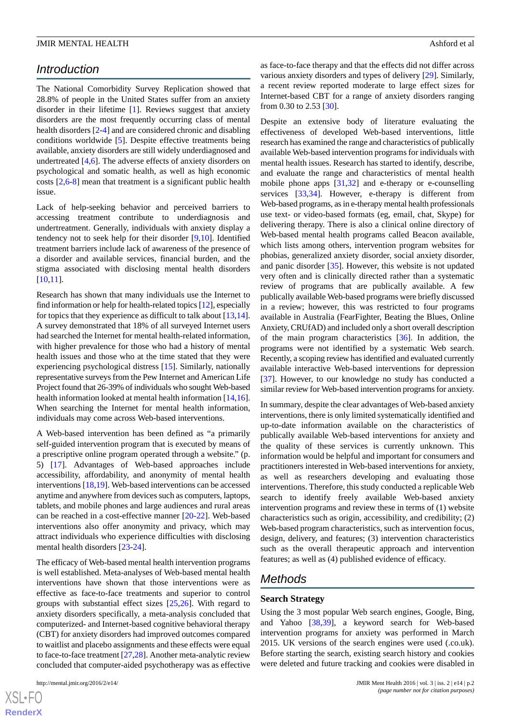# *Introduction*

The National Comorbidity Survey Replication showed that 28.8% of people in the United States suffer from an anxiety disorder in their lifetime [\[1](#page-18-0)]. Reviews suggest that anxiety disorders are the most frequently occurring class of mental health disorders [\[2](#page-18-1)-[4](#page-18-2)] and are considered chronic and disabling conditions worldwide [[5](#page-18-3)]. Despite effective treatments being available, anxiety disorders are still widely underdiagnosed and undertreated [\[4](#page-18-2),[6\]](#page-19-0). The adverse effects of anxiety disorders on psychological and somatic health, as well as high economic costs [[2,](#page-18-1)[6](#page-19-0)[-8](#page-19-1)] mean that treatment is a significant public health issue.

Lack of help-seeking behavior and perceived barriers to accessing treatment contribute to underdiagnosis and undertreatment. Generally, individuals with anxiety display a tendency not to seek help for their disorder [\[9](#page-19-2),[10\]](#page-19-3). Identified treatment barriers include lack of awareness of the presence of a disorder and available services, financial burden, and the stigma associated with disclosing mental health disorders [[10](#page-19-3)[,11](#page-19-4)].

Research has shown that many individuals use the Internet to find information or help for health-related topics [\[12\]](#page-19-5), especially for topics that they experience as difficult to talk about [\[13](#page-19-6),[14\]](#page-19-7). A survey demonstrated that 18% of all surveyed Internet users had searched the Internet for mental health-related information, with higher prevalence for those who had a history of mental health issues and those who at the time stated that they were experiencing psychological distress [\[15](#page-19-8)]. Similarly, nationally representative surveys from the Pew Internet and American Life Project found that 26-39% of individuals who sought Web-based health information looked at mental health information [[14](#page-19-7),[16\]](#page-19-9). When searching the Internet for mental health information, individuals may come across Web-based interventions.

A Web-based intervention has been defined as "a primarily self-guided intervention program that is executed by means of a prescriptive online program operated through a website." (p. 5) [\[17](#page-19-10)]. Advantages of Web-based approaches include accessibility, affordability, and anonymity of mental health interventions [[18,](#page-19-11)[19](#page-19-12)]. Web-based interventions can be accessed anytime and anywhere from devices such as computers, laptops, tablets, and mobile phones and large audiences and rural areas can be reached in a cost-effective manner [[20-](#page-19-13)[22\]](#page-19-14). Web-based interventions also offer anonymity and privacy, which may attract individuals who experience difficulties with disclosing mental health disorders [[23-](#page-19-15)[24](#page-19-16)].

The efficacy of Web-based mental health intervention programs is well established. Meta-analyses of Web-based mental health interventions have shown that those interventions were as effective as face-to-face treatments and superior to control groups with substantial effect sizes [[25,](#page-19-17)[26\]](#page-19-18). With regard to anxiety disorders specifically, a meta-analysis concluded that computerized- and Internet-based cognitive behavioral therapy (CBT) for anxiety disorders had improved outcomes compared to waitlist and placebo assignments and these effects were equal to face-to-face treatment [\[27](#page-19-19),[28\]](#page-19-20). Another meta-analytic review concluded that computer-aided psychotherapy was as effective

as face-to-face therapy and that the effects did not differ across various anxiety disorders and types of delivery [\[29](#page-19-21)]. Similarly, a recent review reported moderate to large effect sizes for Internet-based CBT for a range of anxiety disorders ranging from 0.30 to 2.53 [\[30](#page-20-0)].

Despite an extensive body of literature evaluating the effectiveness of developed Web-based interventions, little research has examined the range and characteristics of publically available Web-based intervention programs for individuals with mental health issues. Research has started to identify, describe, and evaluate the range and characteristics of mental health mobile phone apps [[31,](#page-20-1)[32](#page-20-2)] and e-therapy or e-counselling services [\[33](#page-20-3),[34\]](#page-20-4). However, e-therapy is different from Web-based programs, as in e-therapy mental health professionals use text- or video-based formats (eg, email, chat, Skype) for delivering therapy. There is also a clinical online directory of Web-based mental health programs called Beacon available, which lists among others, intervention program websites for phobias, generalized anxiety disorder, social anxiety disorder, and panic disorder [[35\]](#page-20-5). However, this website is not updated very often and is clinically directed rather than a systematic review of programs that are publically available. A few publically available Web-based programs were briefly discussed in a review; however, this was restricted to four programs available in Australia (FearFighter, Beating the Blues, Online Anxiety, CRUfAD) and included only a short overall description of the main program characteristics [\[36](#page-20-6)]. In addition, the programs were not identified by a systematic Web search. Recently, a scoping review has identified and evaluated currently available interactive Web-based interventions for depression [[37\]](#page-20-7). However, to our knowledge no study has conducted a similar review for Web-based intervention programs for anxiety.

In summary, despite the clear advantages of Web-based anxiety interventions, there is only limited systematically identified and up-to-date information available on the characteristics of publically available Web-based interventions for anxiety and the quality of these services is currently unknown. This information would be helpful and important for consumers and practitioners interested in Web-based interventions for anxiety, as well as researchers developing and evaluating those interventions. Therefore, this study conducted a replicable Web search to identify freely available Web-based anxiety intervention programs and review these in terms of (1) website characteristics such as origin, accessibility, and credibility; (2) Web-based program characteristics, such as intervention focus, design, delivery, and features; (3) intervention characteristics such as the overall therapeutic approach and intervention features; as well as (4) published evidence of efficacy.

# *Methods*

#### **Search Strategy**

Using the 3 most popular Web search engines, Google, Bing, and Yahoo [\[38](#page-20-8),[39\]](#page-20-9), a keyword search for Web-based intervention programs for anxiety was performed in March 2015. UK versions of the search engines were used (.co.uk). Before starting the search, existing search history and cookies were deleted and future tracking and cookies were disabled in

 $XS$ -FO **[RenderX](http://www.renderx.com/)**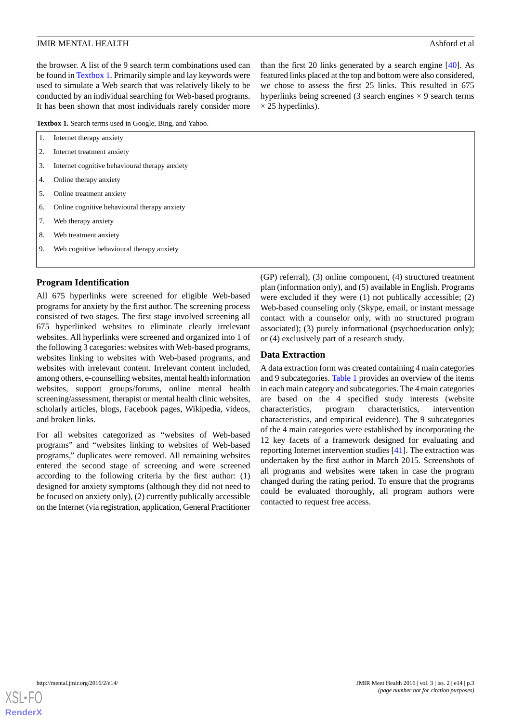the browser. A list of the 9 search term combinations used can be found in [Textbox 1](#page-3-0). Primarily simple and lay keywords were used to simulate a Web search that was relatively likely to be conducted by an individual searching for Web-based programs. It has been shown that most individuals rarely consider more

<span id="page-3-0"></span>**Textbox 1.** Search terms used in Google, Bing, and Yahoo.

|  | Internet therapy anxiety |  |
|--|--------------------------|--|
|--|--------------------------|--|

- 2. Internet treatment anxiety
- 3. Internet cognitive behavioural therapy anxiety
- 4. Online therapy anxiety
- 5. Online treatment anxiety
- 6. Online cognitive behavioural therapy anxiety
- 7. Web therapy anxiety
- 8. Web treatment anxiety
- 9. Web cognitive behavioural therapy anxiety

**Program Identification**

All 675 hyperlinks were screened for eligible Web-based programs for anxiety by the first author. The screening process consisted of two stages. The first stage involved screening all 675 hyperlinked websites to eliminate clearly irrelevant websites. All hyperlinks were screened and organized into 1 of the following 3 categories: websites with Web-based programs, websites linking to websites with Web-based programs, and websites with irrelevant content. Irrelevant content included, among others, e-counselling websites, mental health information websites, support groups/forums, online mental health screening/assessment, therapist or mental health clinic websites, scholarly articles, blogs, Facebook pages, Wikipedia, videos, and broken links.

For all websites categorized as "websites of Web-based programs" and "websites linking to websites of Web-based programs," duplicates were removed. All remaining websites entered the second stage of screening and were screened according to the following criteria by the first author: (1) designed for anxiety symptoms (although they did not need to be focused on anxiety only), (2) currently publically accessible on the Internet (via registration, application, General Practitioner

(GP) referral), (3) online component, (4) structured treatment plan (information only), and (5) available in English. Programs were excluded if they were (1) not publically accessible; (2) Web-based counseling only (Skype, email, or instant message contact with a counselor only, with no structured program associated); (3) purely informational (psychoeducation only); or (4) exclusively part of a research study.

than the first 20 links generated by a search engine [\[40](#page-20-10)]. As featured links placed at the top and bottom were also considered, we chose to assess the first 25 links. This resulted in 675 hyperlinks being screened (3 search engines  $\times$  9 search terms

#### **Data Extraction**

 $\times$  25 hyperlinks).

A data extraction form was created containing 4 main categories and 9 subcategories. [Table 1](#page-4-0) provides an overview of the items in each main category and subcategories. The 4 main categories are based on the 4 specified study interests (website characteristics, program characteristics, intervention characteristics, and empirical evidence). The 9 subcategories of the 4 main categories were established by incorporating the 12 key facets of a framework designed for evaluating and reporting Internet intervention studies [[41\]](#page-20-11). The extraction was undertaken by the first author in March 2015. Screenshots of all programs and websites were taken in case the program changed during the rating period. To ensure that the programs could be evaluated thoroughly, all program authors were contacted to request free access.

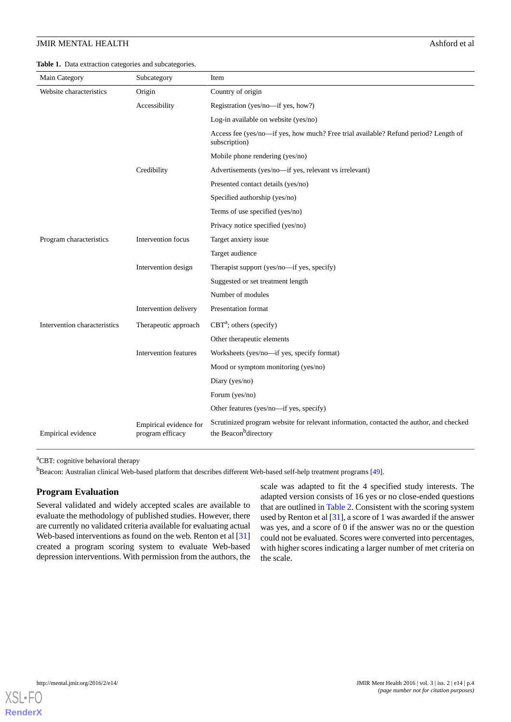<span id="page-4-0"></span>**Table 1.** Data extraction categories and subcategories.

| Main Category                | Subcategory                                | Item                                                                                                                         |
|------------------------------|--------------------------------------------|------------------------------------------------------------------------------------------------------------------------------|
| Website characteristics      | Origin                                     | Country of origin                                                                                                            |
|                              | Accessibility                              | Registration (yes/no-if yes, how?)                                                                                           |
|                              |                                            | Log-in available on website (yes/no)                                                                                         |
|                              |                                            | Access fee (yes/no---if yes, how much? Free trial available? Refund period? Length of<br>subscription)                       |
|                              |                                            | Mobile phone rendering (yes/no)                                                                                              |
|                              | Credibility                                | Advertisements (yes/no-if yes, relevant vs irrelevant)                                                                       |
|                              |                                            | Presented contact details (yes/no)                                                                                           |
|                              |                                            | Specified authorship (yes/no)                                                                                                |
|                              |                                            | Terms of use specified (yes/no)                                                                                              |
|                              |                                            | Privacy notice specified (yes/no)                                                                                            |
| Program characteristics      | Intervention focus                         | Target anxiety issue                                                                                                         |
|                              |                                            | Target audience                                                                                                              |
|                              | Intervention design                        | Therapist support (yes/no-if yes, specify)                                                                                   |
|                              |                                            | Suggested or set treatment length                                                                                            |
|                              |                                            | Number of modules                                                                                                            |
|                              | Intervention delivery                      | Presentation format                                                                                                          |
| Intervention characteristics | Therapeutic approach                       | $CBTa$ ; others (specify)                                                                                                    |
|                              |                                            | Other therapeutic elements                                                                                                   |
|                              | Intervention features                      | Worksheets (yes/no-if yes, specify format)                                                                                   |
|                              |                                            | Mood or symptom monitoring (yes/no)                                                                                          |
|                              |                                            | Diary (yes/no)                                                                                                               |
|                              |                                            | Forum (yes/no)                                                                                                               |
|                              |                                            | Other features (yes/no-if yes, specify)                                                                                      |
| Empirical evidence           | Empirical evidence for<br>program efficacy | Scrutinized program website for relevant information, contacted the author, and checked<br>the Beacon <sup>b</sup> directory |

<sup>a</sup>CBT: cognitive behavioral therapy

<sup>b</sup>Beacon: Australian clinical Web-based platform that describes different Web-based self-help treatment programs [\[49\]](#page-20-12).

#### **Program Evaluation**

Several validated and widely accepted scales are available to evaluate the methodology of published studies. However, there are currently no validated criteria available for evaluating actual Web-based interventions as found on the web. Renton et al [\[31](#page-20-1)] created a program scoring system to evaluate Web-based depression interventions. With permission from the authors, the

scale was adapted to fit the 4 specified study interests. The adapted version consists of 16 yes or no close-ended questions that are outlined in [Table 2.](#page-5-0) Consistent with the scoring system used by Renton et al [\[31](#page-20-1)], a score of 1 was awarded if the answer was yes, and a score of 0 if the answer was no or the question could not be evaluated. Scores were converted into percentages, with higher scores indicating a larger number of met criteria on the scale.

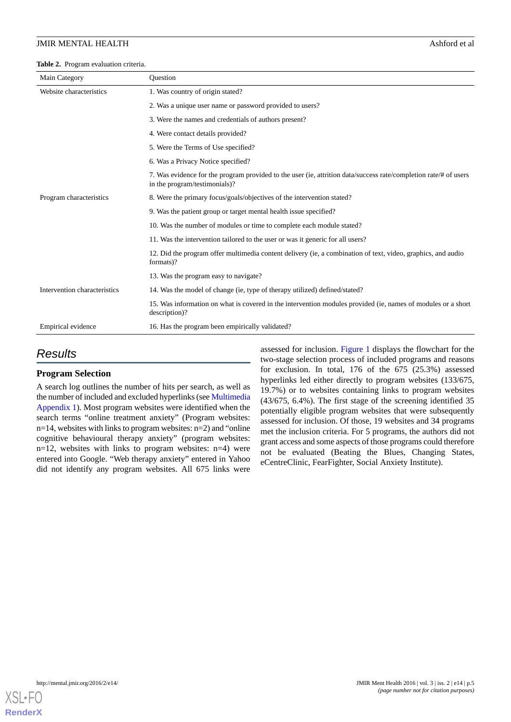#### <span id="page-5-0"></span>**Table 2.** Program evaluation criteria.

| Main Category                | <b>Ouestion</b>                                                                                                                                   |  |  |  |
|------------------------------|---------------------------------------------------------------------------------------------------------------------------------------------------|--|--|--|
| Website characteristics      | 1. Was country of origin stated?                                                                                                                  |  |  |  |
|                              | 2. Was a unique user name or password provided to users?                                                                                          |  |  |  |
|                              | 3. Were the names and credentials of authors present?                                                                                             |  |  |  |
|                              | 4. Were contact details provided?                                                                                                                 |  |  |  |
|                              | 5. Were the Terms of Use specified?                                                                                                               |  |  |  |
|                              | 6. Was a Privacy Notice specified?                                                                                                                |  |  |  |
|                              | 7. Was evidence for the program provided to the user (ie, attrition data/success rate/completion rate/# of users<br>in the program/testimonials)? |  |  |  |
| Program characteristics      | 8. Were the primary focus/goals/objectives of the intervention stated?                                                                            |  |  |  |
|                              | 9. Was the patient group or target mental health issue specified?                                                                                 |  |  |  |
|                              | 10. Was the number of modules or time to complete each module stated?                                                                             |  |  |  |
|                              | 11. Was the intervention tailored to the user or was it generic for all users?                                                                    |  |  |  |
|                              | 12. Did the program offer multimedia content delivery (ie, a combination of text, video, graphics, and audio<br>formats)?                         |  |  |  |
|                              | 13. Was the program easy to navigate?                                                                                                             |  |  |  |
| Intervention characteristics | 14. Was the model of change (ie, type of therapy utilized) defined/stated?                                                                        |  |  |  |
|                              | 15. Was information on what is covered in the intervention modules provided (ie, names of modules or a short<br>description)?                     |  |  |  |
| Empirical evidence           | 16. Has the program been empirically validated?                                                                                                   |  |  |  |

# *Results*

### **Program Selection**

A search log outlines the number of hits per search, as well as the number of included and excluded hyperlinks (see [Multimedia](#page-18-4) [Appendix 1](#page-18-4)). Most program websites were identified when the search terms "online treatment anxiety" (Program websites:  $n=14$ , websites with links to program websites:  $n=2$ ) and "online cognitive behavioural therapy anxiety" (program websites: n=12, websites with links to program websites: n=4) were entered into Google. "Web therapy anxiety" entered in Yahoo did not identify any program websites. All 675 links were

assessed for inclusion. [Figure 1](#page-6-0) displays the flowchart for the two-stage selection process of included programs and reasons for exclusion. In total, 176 of the 675 (25.3%) assessed hyperlinks led either directly to program websites (133/675, 19.7%) or to websites containing links to program websites (43/675, 6.4%). The first stage of the screening identified 35 potentially eligible program websites that were subsequently assessed for inclusion. Of those, 19 websites and 34 programs met the inclusion criteria. For 5 programs, the authors did not grant access and some aspects of those programs could therefore not be evaluated (Beating the Blues, Changing States, eCentreClinic, FearFighter, Social Anxiety Institute).

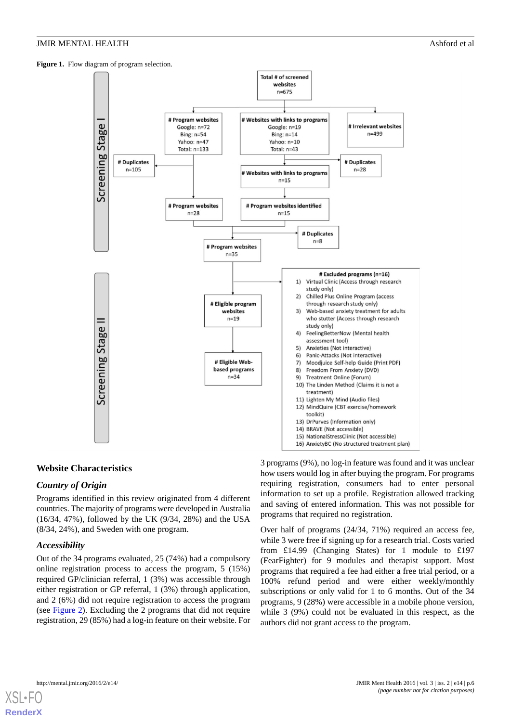<span id="page-6-0"></span>Figure 1. Flow diagram of program selection.



# **Website Characteristics**

# *Country of Origin*

Programs identified in this review originated from 4 different countries. The majority of programs were developed in Australia (16/34, 47%), followed by the UK (9/34, 28%) and the USA (8/34, 24%), and Sweden with one program.

#### *Accessibility*

Out of the 34 programs evaluated, 25 (74%) had a compulsory online registration process to access the program, 5 (15%) required GP/clinician referral, 1 (3%) was accessible through either registration or GP referral, 1 (3%) through application, and 2 (6%) did not require registration to access the program (see [Figure 2\)](#page-7-0). Excluding the 2 programs that did not require registration, 29 (85%) had a log-in feature on their website. For 3 programs (9%), no log-in feature was found and it was unclear how users would log in after buying the program. For programs requiring registration, consumers had to enter personal information to set up a profile. Registration allowed tracking and saving of entered information. This was not possible for programs that required no registration.

Over half of programs (24/34, 71%) required an access fee, while 3 were free if signing up for a research trial. Costs varied from £14.99 (Changing States) for 1 module to £197 (FearFighter) for 9 modules and therapist support. Most programs that required a fee had either a free trial period, or a 100% refund period and were either weekly/monthly subscriptions or only valid for 1 to 6 months. Out of the 34 programs, 9 (28%) were accessible in a mobile phone version, while 3 (9%) could not be evaluated in this respect, as the authors did not grant access to the program.

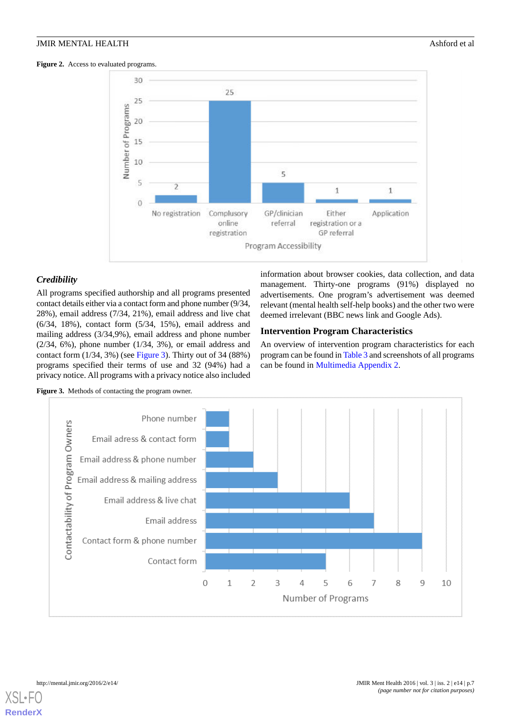<span id="page-7-0"></span>Figure 2. Access to evaluated programs.



# *Credibility*

All programs specified authorship and all programs presented contact details either via a contact form and phone number (9/34, 28%), email address (7/34, 21%), email address and live chat (6/34, 18%), contact form (5/34, 15%), email address and mailing address (3/34,9%), email address and phone number  $(2/34, 6\%)$ , phone number  $(1/34, 3\%)$ , or email address and contact form  $(1/34, 3\%)$  (see [Figure 3\)](#page-7-1). Thirty out of 34 (88%) programs specified their terms of use and 32 (94%) had a privacy notice. All programs with a privacy notice also included

information about browser cookies, data collection, and data management. Thirty-one programs (91%) displayed no advertisements. One program's advertisement was deemed relevant (mental health self-help books) and the other two were deemed irrelevant (BBC news link and Google Ads).

# **Intervention Program Characteristics**

An overview of intervention program characteristics for each program can be found in [Table 3](#page-8-0) and screenshots of all programs can be found in [Multimedia Appendix 2](#page-18-5).

<span id="page-7-1"></span>



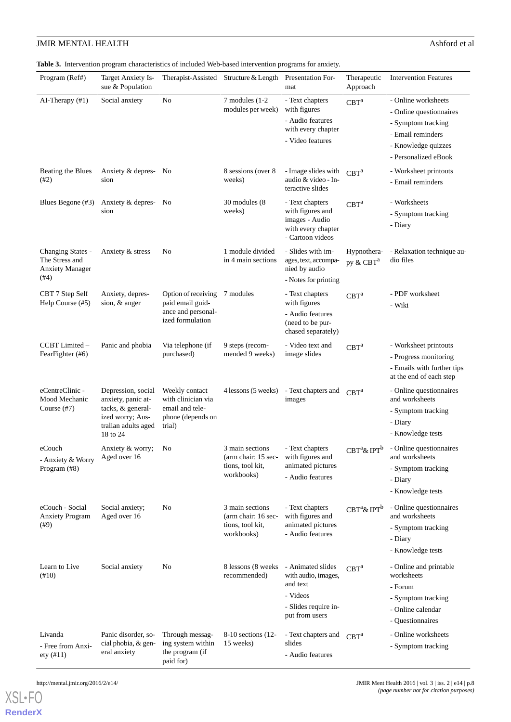<span id="page-8-0"></span>**Table 3.** Intervention program characteristics of included Web-based intervention programs for anxiety.

| Program (Ref#)                                                        | Target Anxiety Is-<br>sue & Population                                                                               |                                                                                        | Therapist-Assisted Structure & Length                                    | Presentation For-<br>mat                                                                                   | Therapeutic<br>Approach              | <b>Intervention Features</b>                                                                                                             |
|-----------------------------------------------------------------------|----------------------------------------------------------------------------------------------------------------------|----------------------------------------------------------------------------------------|--------------------------------------------------------------------------|------------------------------------------------------------------------------------------------------------|--------------------------------------|------------------------------------------------------------------------------------------------------------------------------------------|
| AI-Therapy $(\#1)$                                                    | Social anxiety                                                                                                       | No                                                                                     | 7 modules (1-2)<br>modules per week)                                     | - Text chapters<br>with figures<br>- Audio features<br>with every chapter<br>- Video features              | CBT <sup>a</sup>                     | - Online worksheets<br>- Online questionnaires<br>- Symptom tracking<br>- Email reminders<br>- Knowledge quizzes<br>- Personalized eBook |
| Beating the Blues<br>(#2)                                             | Anxiety & depres-<br>sion                                                                                            | - No                                                                                   | 8 sessions (over 8)<br>weeks)                                            | - Image slides with<br>audio & video - In-<br>teractive slides                                             | CRT <sup>a</sup>                     | - Worksheet printouts<br>- Email reminders                                                                                               |
| Blues Begone (#3)                                                     | Anxiety & depres- No<br>sion                                                                                         |                                                                                        | 30 modules (8)<br>weeks)                                                 | - Text chapters<br>with figures and<br>images - Audio<br>with every chapter<br>- Cartoon videos            | CBT <sup>a</sup>                     | - Worksheets<br>- Symptom tracking<br>- Diary                                                                                            |
| Changing States -<br>The Stress and<br><b>Anxiety Manager</b><br>(#4) | Anxiety & stress                                                                                                     | No                                                                                     | 1 module divided<br>in 4 main sections                                   | - Slides with im-<br>ages, text, accompa-<br>nied by audio<br>- Notes for printing                         | Hypnothera-<br>py & CBT <sup>a</sup> | - Relaxation technique au-<br>dio files                                                                                                  |
| CBT 7 Step Self<br>Help Course (#5)                                   | Anxiety, depres-<br>sion, & anger                                                                                    | Option of receiving<br>paid email guid-                                                | 7 modules                                                                | - Text chapters<br>with figures                                                                            | CBT <sup>a</sup>                     | - PDF worksheet<br>- Wiki                                                                                                                |
|                                                                       |                                                                                                                      | ance and personal-<br>ized formulation                                                 |                                                                          | - Audio features<br>(need to be pur-<br>chased separately)                                                 |                                      |                                                                                                                                          |
| CCBT Limited -<br>FearFighter (#6)                                    | Panic and phobia                                                                                                     | Via telephone (if<br>purchased)                                                        | 9 steps (recom-<br>mended 9 weeks)                                       | - Video text and<br>image slides                                                                           | CBT <sup>a</sup>                     | - Worksheet printouts<br>- Progress monitoring<br>- Emails with further tips<br>at the end of each step                                  |
| eCentreClinic -<br>Mood Mechanic<br>Course $(\#7)$                    | Depression, social<br>anxiety, panic at-<br>tacks, & general-<br>ized worry; Aus-<br>tralian adults aged<br>18 to 24 | Weekly contact<br>with clinician via<br>email and tele-<br>phone (depends on<br>trial) | 4 lessons (5 weeks)                                                      | - Text chapters and<br>images                                                                              | CBT <sup>a</sup>                     | - Online questionnaires<br>and worksheets<br>- Symptom tracking<br>- Diary<br>- Knowledge tests                                          |
| eCouch<br>- Anxiety & Worry<br>Program (#8)                           | Anxiety & worry;<br>Aged over 16                                                                                     | No                                                                                     | 3 main sections<br>(arm chair: 15 sec-<br>tions, tool kit,<br>workbooks) | - Text chapters<br>with figures and<br>animated pictures<br>- Audio features                               | $CBT^a$ & IPT $^b$                   | - Online questionnaires<br>and worksheets<br>- Symptom tracking<br>- Diary<br>- Knowledge tests                                          |
| eCouch - Social<br><b>Anxiety Program</b><br>(#9)                     | Social anxiety;<br>Aged over 16                                                                                      | No                                                                                     | 3 main sections<br>(arm chair: 16 sec-<br>tions, tool kit.<br>workbooks) | - Text chapters<br>with figures and<br>animated pictures<br>- Audio features                               | $CBT^a$ & IPT $^b$                   | - Online questionnaires<br>and worksheets<br>- Symptom tracking<br>- Diary<br>- Knowledge tests                                          |
| Learn to Live<br>(410)                                                | Social anxiety                                                                                                       | No                                                                                     | 8 lessons (8 weeks)<br>recommended)                                      | - Animated slides<br>with audio, images,<br>and text<br>- Videos<br>- Slides require in-<br>put from users | CBT <sup>a</sup>                     | - Online and printable<br>worksheets<br>- Forum<br>- Symptom tracking<br>- Online calendar<br>- Questionnaires                           |
| Livanda<br>- Free from Anxi-<br>ety (#11)                             | Panic disorder, so-<br>cial phobia, & gen-<br>eral anxiety                                                           | Through messag-<br>ing system within<br>the program (if<br>paid for)                   | 8-10 sections (12-<br>15 weeks)                                          | - Text chapters and<br>slides<br>- Audio features                                                          | CRT <sup>a</sup>                     | - Online worksheets<br>- Symptom tracking                                                                                                |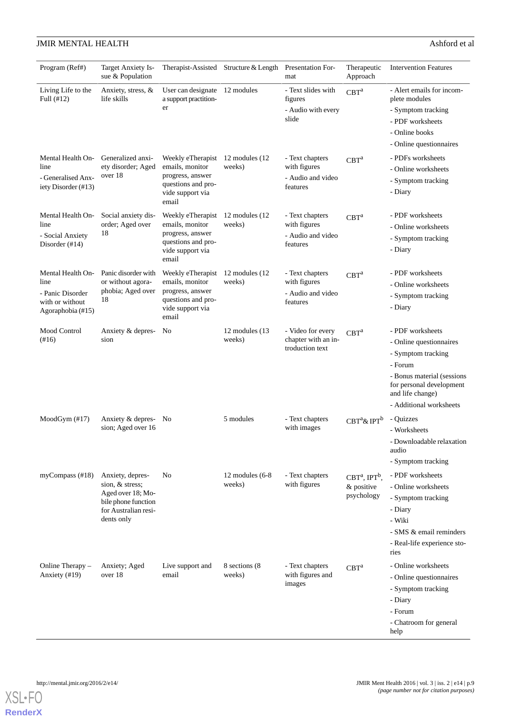| Program (Ref#)                                                                        | <b>Target Anxiety Is-</b><br>sue & Population                                                                         |                                                                                                                            | Therapist-Assisted Structure & Length Presentation For- | mat                                                              | Therapeutic<br>Approach                                 | <b>Intervention Features</b>                                                                                                                                                          |
|---------------------------------------------------------------------------------------|-----------------------------------------------------------------------------------------------------------------------|----------------------------------------------------------------------------------------------------------------------------|---------------------------------------------------------|------------------------------------------------------------------|---------------------------------------------------------|---------------------------------------------------------------------------------------------------------------------------------------------------------------------------------------|
| Living Life to the<br>Full (#12)                                                      | Anxiety, stress, &<br>life skills                                                                                     | User can designate 12 modules<br>a support practition-<br>er                                                               |                                                         | - Text slides with<br>figures<br>- Audio with every<br>slide     | CBT <sup>a</sup>                                        | - Alert emails for incom-<br>plete modules<br>- Symptom tracking<br>- PDF worksheets<br>- Online books<br>- Online questionnaires                                                     |
| Mental Health On-<br>line<br>- Generalised Anx-<br>iety Disorder (#13)                | Generalized anxi-<br>ety disorder; Aged<br>over 18                                                                    | Weekly eTherapist 12 modules (12<br>emails, monitor<br>progress, answer<br>questions and pro-<br>vide support via<br>email | weeks)                                                  | - Text chapters<br>with figures<br>- Audio and video<br>features | CBT <sup>a</sup>                                        | - PDFs worksheets<br>- Online worksheets<br>- Symptom tracking<br>- Diary                                                                                                             |
| Mental Health On-<br>line<br>- Social Anxiety<br>Disorder $(\#14)$                    | Social anxiety dis-<br>order; Aged over<br>18                                                                         | Weekly eTherapist 12 modules (12<br>emails, monitor<br>progress, answer<br>questions and pro-<br>vide support via<br>email | weeks)                                                  | - Text chapters<br>with figures<br>- Audio and video<br>features | CBT <sup>a</sup>                                        | - PDF worksheets<br>- Online worksheets<br>- Symptom tracking<br>- Diary                                                                                                              |
| Mental Health On-<br>line<br>- Panic Disorder<br>with or without<br>Agoraphobia (#15) | Panic disorder with<br>or without agora-<br>phobia; Aged over<br>18                                                   | Weekly eTherapist 12 modules (12<br>emails, monitor<br>progress, answer<br>questions and pro-<br>vide support via<br>email | weeks)                                                  | - Text chapters<br>with figures<br>- Audio and video<br>features | CBT <sup>a</sup>                                        | - PDF worksheets<br>- Online worksheets<br>- Symptom tracking<br>- Diary                                                                                                              |
| Mood Control<br>(#16)                                                                 | Anxiety & depres-<br>sion                                                                                             | No                                                                                                                         | 12 modules (13)<br>weeks)                               | - Video for every<br>chapter with an in-<br>troduction text      | $CBT^a$                                                 | - PDF worksheets<br>- Online questionnaires<br>- Symptom tracking<br>- Forum<br>- Bonus material (sessions<br>for personal development<br>and life change)<br>- Additional worksheets |
| $ModGym$ (#17)                                                                        | Anxiety & depres-<br>sion; Aged over 16                                                                               | No                                                                                                                         | 5 modules                                               | - Text chapters<br>with images                                   | $CBT^a$ & IPT $^b$                                      | - Quizzes<br>- Worksheets<br>- Downloadable relaxation<br>audio<br>- Symptom tracking                                                                                                 |
| myCompass $(\text{\#}18)$                                                             | Anxiety, depres-<br>sion, & stress;<br>Aged over 18; Mo-<br>bile phone function<br>for Australian resi-<br>dents only | No                                                                                                                         | 12 modules $(6-8)$<br>weeks)                            | - Text chapters<br>with figures                                  | $CBTa$ , IPT <sup>b</sup> ,<br>& positive<br>psychology | - PDF worksheets<br>- Online worksheets<br>- Symptom tracking<br>- Diary<br>- Wiki<br>- SMS & email reminders<br>- Real-life experience sto-<br>ries                                  |
| Online Therapy -<br>Anxiety (#19)                                                     | Anxiety; Aged<br>over 18                                                                                              | Live support and<br>email                                                                                                  | 8 sections (8)<br>weeks)                                | - Text chapters<br>with figures and<br>images                    | CBT <sup>a</sup>                                        | - Online worksheets<br>- Online questionnaires<br>- Symptom tracking<br>- Diary<br>- Forum<br>- Chatroom for general<br>help                                                          |

# **JMIR MENTAL HEALTH** Ashford et al

**[RenderX](http://www.renderx.com/)**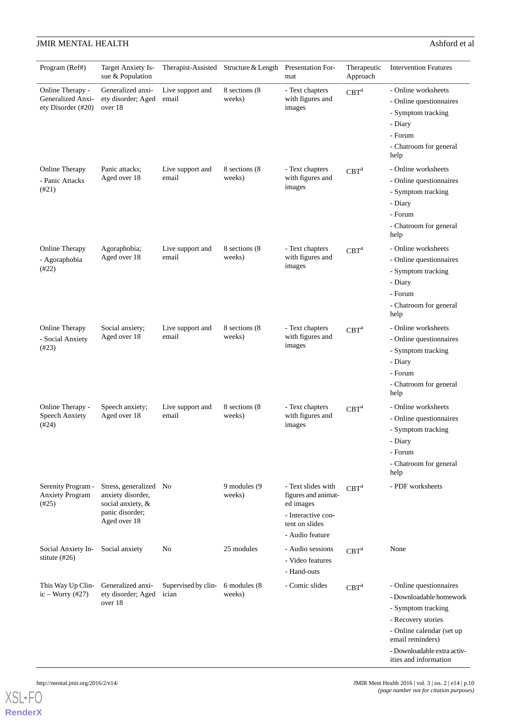| Program (Ref#)                                              | Target Anxiety Is-<br>sue & Population                                                              |                              | Therapist-Assisted Structure & Length | Presentation For-<br>mat                                                                                          | Therapeutic<br>Approach | <b>Intervention Features</b>                                                                                                                                                                            |
|-------------------------------------------------------------|-----------------------------------------------------------------------------------------------------|------------------------------|---------------------------------------|-------------------------------------------------------------------------------------------------------------------|-------------------------|---------------------------------------------------------------------------------------------------------------------------------------------------------------------------------------------------------|
| Online Therapy -<br>Generalized Anxi-<br>ety Disorder (#20) | Generalized anxi-<br>ety disorder; Aged<br>over 18                                                  | Live support and<br>email    | 8 sections (8)<br>weeks)              | - Text chapters<br>with figures and<br>images                                                                     | CBT <sup>a</sup>        | - Online worksheets<br>- Online questionnaires<br>- Symptom tracking<br>- Diary<br>- Forum<br>- Chatroom for general<br>help                                                                            |
| Online Therapy<br>- Panic Attacks<br>(#21)                  | Panic attacks;<br>Aged over 18                                                                      | Live support and<br>email    | 8 sections (8)<br>weeks)              | - Text chapters<br>with figures and<br>images                                                                     | CBT <sup>a</sup>        | - Online worksheets<br>- Online questionnaires<br>- Symptom tracking<br>- Diary<br>- Forum<br>- Chatroom for general<br>help                                                                            |
| Online Therapy<br>- Agoraphobia<br>(#22)                    | Agoraphobia;<br>Aged over 18                                                                        | Live support and<br>email    | 8 sections (8)<br>weeks)              | - Text chapters<br>with figures and<br>images                                                                     | CBT <sup>a</sup>        | - Online worksheets<br>- Online questionnaires<br>- Symptom tracking<br>- Diary<br>- Forum<br>- Chatroom for general<br>help                                                                            |
| Online Therapy<br>- Social Anxiety<br>(#23)                 | Social anxiety;<br>Aged over 18                                                                     | Live support and<br>email    | 8 sections (8)<br>weeks)              | - Text chapters<br>with figures and<br>images                                                                     | CBT <sup>a</sup>        | - Online worksheets<br>- Online questionnaires<br>- Symptom tracking<br>- Diary<br>- Forum<br>- Chatroom for general<br>help                                                                            |
| Online Therapy -<br><b>Speech Anxiety</b><br>(#24)          | Speech anxiety;<br>Aged over 18                                                                     | Live support and<br>email    | 8 sections (8)<br>weeks)              | - Text chapters<br>with figures and<br>images                                                                     | CBT <sup>a</sup>        | - Online worksheets<br>- Online questionnaires<br>- Symptom tracking<br>- Diary<br>- Forum<br>- Chatroom for general<br>help                                                                            |
| Serenity Program -<br><b>Anxiety Program</b><br>(#25)       | Stress, generalized No<br>anxiety disorder,<br>social anxiety, &<br>panic disorder;<br>Aged over 18 |                              | 9 modules (9<br>weeks)                | - Text slides with<br>figures and animat-<br>ed images<br>- Interactive con-<br>tent on slides<br>- Audio feature | CBT <sup>a</sup>        | - PDF worksheets                                                                                                                                                                                        |
| Social Anxiety In-<br>stitute $(\text{\#26})$               | Social anxiety                                                                                      | No                           | 25 modules                            | - Audio sessions<br>- Video features<br>- Hand-outs                                                               | CBT <sup>a</sup>        | None                                                                                                                                                                                                    |
| This Way Up Clin-<br>ic – Worry $(\#27)$                    | Generalized anxi-<br>ety disorder; Aged<br>over 18                                                  | Supervised by clin-<br>ician | 6 modules (8)<br>weeks)               | - Comic slides                                                                                                    | CBT <sup>a</sup>        | - Online questionnaires<br>- Downloadable homework<br>- Symptom tracking<br>- Recovery stories<br>- Online calendar (set up<br>email reminders)<br>- Downloadable extra activ-<br>ities and information |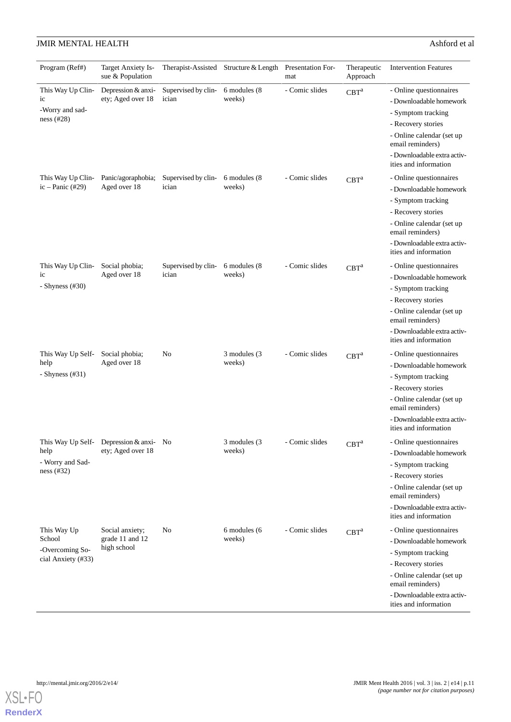|  |  | nup://me |  |
|--|--|----------|--|
|  |  |          |  |

| Program (Ref#)                | Target Anxiety Is-<br>sue & Population |                     | Therapist-Assisted Structure & Length | <b>Presentation For-</b><br>mat | Therapeutic<br>Approach | <b>Intervention Features</b>                         |
|-------------------------------|----------------------------------------|---------------------|---------------------------------------|---------------------------------|-------------------------|------------------------------------------------------|
| This Way Up Clin-             | Depression & anxi-                     | Supervised by clin- | 6 modules (8                          | - Comic slides                  | CBT <sup>a</sup>        | - Online questionnaires                              |
| ic                            | ety; Aged over 18                      | ician               | weeks)                                |                                 |                         | - Downloadable homework                              |
| -Worry and sad-<br>ness (#28) |                                        |                     |                                       |                                 |                         | - Symptom tracking                                   |
|                               |                                        |                     |                                       |                                 |                         | - Recovery stories                                   |
|                               |                                        |                     |                                       |                                 |                         | - Online calendar (set up<br>email reminders)        |
|                               |                                        |                     |                                       |                                 |                         | - Downloadable extra activ-<br>ities and information |
| This Way Up Clin-             | Panic/agoraphobia;                     | Supervised by clin- | 6 modules (8)                         | - Comic slides                  | CBT <sup>a</sup>        | - Online questionnaires                              |
| ic – Panic $(\#29)$           | Aged over 18                           | ician               | weeks)                                |                                 |                         | - Downloadable homework                              |
|                               |                                        |                     |                                       |                                 |                         | - Symptom tracking                                   |
|                               |                                        |                     |                                       |                                 |                         | - Recovery stories                                   |
|                               |                                        |                     |                                       |                                 |                         | - Online calendar (set up<br>email reminders)        |
|                               |                                        |                     |                                       |                                 |                         | - Downloadable extra activ-<br>ities and information |
| This Way Up Clin-             | Social phobia;                         | Supervised by clin- | 6 modules (8)                         | - Comic slides                  | CBT <sup>a</sup>        | - Online questionnaires                              |
| ic                            | Aged over 18                           | ician               | weeks)                                |                                 |                         | - Downloadable homework                              |
| - Shyness $(#30)$             |                                        |                     |                                       |                                 |                         | - Symptom tracking                                   |
|                               |                                        |                     |                                       |                                 |                         | - Recovery stories                                   |
|                               |                                        |                     |                                       |                                 |                         | - Online calendar (set up<br>email reminders)        |
|                               |                                        |                     |                                       |                                 |                         | - Downloadable extra activ-<br>ities and information |
| This Way Up Self-             | Social phobia;                         | No                  | 3 modules (3                          | - Comic slides                  | CBT <sup>a</sup>        | - Online questionnaires                              |
| help                          | Aged over 18                           |                     | weeks)                                |                                 |                         | - Downloadable homework                              |
| - Shyness $(\#31)$            |                                        |                     |                                       |                                 |                         | - Symptom tracking                                   |
|                               |                                        |                     |                                       |                                 |                         | - Recovery stories                                   |
|                               |                                        |                     |                                       |                                 |                         | - Online calendar (set up<br>email reminders)        |
|                               |                                        |                     |                                       |                                 |                         | - Downloadable extra activ-<br>ities and information |
| This Way Up Self-             | Depression $&$ anxi- No                |                     | 3 modules (3                          | - Comic slides                  | CBT <sup>a</sup>        | - Online questionnaires                              |
| help                          | ety; Aged over 18                      |                     | weeks)                                |                                 |                         | - Downloadable homework                              |
| - Worry and Sad-              |                                        |                     |                                       |                                 |                         | - Symptom tracking                                   |
| ness $(#32)$                  |                                        |                     |                                       |                                 |                         | - Recovery stories                                   |
|                               |                                        |                     |                                       |                                 |                         | - Online calendar (set up<br>email reminders)        |
|                               |                                        |                     |                                       |                                 |                         | - Downloadable extra activ-<br>ities and information |
| This Way Up                   | Social anxiety;                        | No                  | 6 modules (6                          | - Comic slides                  | CBT <sup>a</sup>        | - Online questionnaires                              |
| School                        | grade 11 and 12                        |                     | weeks)                                |                                 |                         | - Downloadable homework                              |
| -Overcoming So-               | high school                            |                     |                                       |                                 |                         | - Symptom tracking                                   |
| cial Anxiety (#33)            |                                        |                     |                                       |                                 |                         | - Recovery stories                                   |
|                               |                                        |                     |                                       |                                 |                         | - Online calendar (set up<br>email reminders)        |
|                               |                                        |                     |                                       |                                 |                         | - Downloadable extra activ-<br>ities and information |
|                               |                                        |                     |                                       |                                 |                         |                                                      |

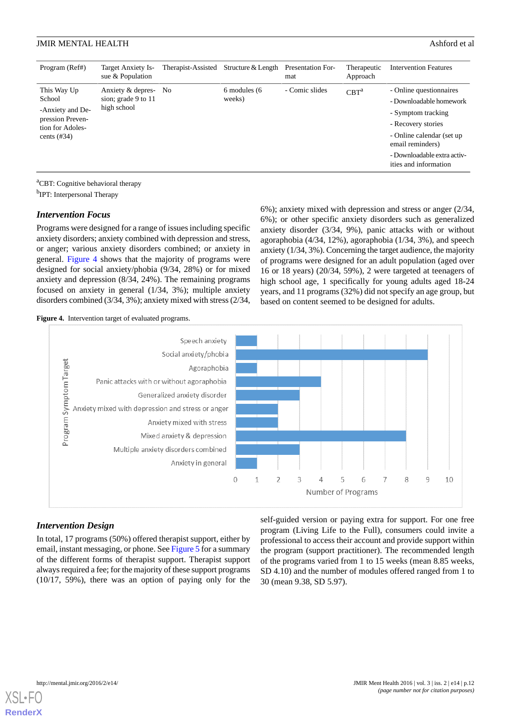| Program (Ref#)                                                                                      | Target Anxiety Is-<br>sue & Population                  | Therapist-Assisted | Structure & Length     | Presentation For-<br>mat | Therapeutic<br>Approach | <b>Intervention Features</b>                                                                                                                                                                             |
|-----------------------------------------------------------------------------------------------------|---------------------------------------------------------|--------------------|------------------------|--------------------------|-------------------------|----------------------------------------------------------------------------------------------------------------------------------------------------------------------------------------------------------|
| This Way Up<br>School<br>-Anxiety and De-<br>pression Preven-<br>tion for Adoles-<br>cents $(\#34)$ | Anxiety & depres-<br>sion; grade 9 to 11<br>high school | - No               | 6 modules (6<br>weeks) | - Comic slides           | CBT <sup>a</sup>        | - Online questionnaires<br>- Downloadable homework<br>- Symptom tracking<br>- Recovery stories<br>- Online calendar (set up)<br>email reminders)<br>- Downloadable extra activ-<br>ities and information |

<sup>a</sup>CBT: Cognitive behavioral therapy

<sup>b</sup>IPT: Interpersonal Therapy

#### *Intervention Focus*

Programs were designed for a range of issues including specific anxiety disorders; anxiety combined with depression and stress, or anger; various anxiety disorders combined; or anxiety in general. [Figure 4](#page-12-0) shows that the majority of programs were designed for social anxiety/phobia (9/34, 28%) or for mixed anxiety and depression (8/34, 24%). The remaining programs focused on anxiety in general (1/34, 3%); multiple anxiety disorders combined (3/34, 3%); anxiety mixed with stress (2/34, 6%); anxiety mixed with depression and stress or anger (2/34, 6%); or other specific anxiety disorders such as generalized anxiety disorder (3/34, 9%), panic attacks with or without agoraphobia (4/34, 12%), agoraphobia (1/34, 3%), and speech anxiety (1/34, 3%). Concerning the target audience, the majority of programs were designed for an adult population (aged over 16 or 18 years) (20/34, 59%), 2 were targeted at teenagers of high school age, 1 specifically for young adults aged 18-24 years, and 11 programs (32%) did not specify an age group, but based on content seemed to be designed for adults.

<span id="page-12-0"></span>**Figure 4.** Intervention target of evaluated programs.



#### *Intervention Design*

In total, 17 programs (50%) offered therapist support, either by email, instant messaging, or phone. See [Figure 5](#page-13-0) for a summary of the different forms of therapist support. Therapist support always required a fee; for the majority of these support programs (10/17, 59%), there was an option of paying only for the

self-guided version or paying extra for support. For one free program (Living Life to the Full), consumers could invite a professional to access their account and provide support within the program (support practitioner). The recommended length of the programs varied from 1 to 15 weeks (mean 8.85 weeks, SD 4.10) and the number of modules offered ranged from 1 to 30 (mean 9.38, SD 5.97).

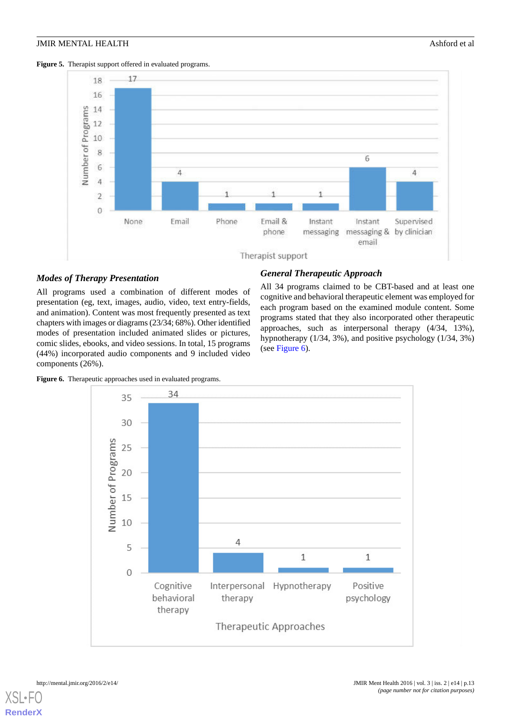<span id="page-13-0"></span>



# *Modes of Therapy Presentation*

All programs used a combination of different modes of presentation (eg, text, images, audio, video, text entry-fields, and animation). Content was most frequently presented as text chapters with images or diagrams (23/34; 68%). Other identified modes of presentation included animated slides or pictures, comic slides, ebooks, and video sessions. In total, 15 programs (44%) incorporated audio components and 9 included video components (26%).

# *General Therapeutic Approach*

All 34 programs claimed to be CBT-based and at least one cognitive and behavioral therapeutic element was employed for each program based on the examined module content. Some programs stated that they also incorporated other therapeutic approaches, such as interpersonal therapy (4/34, 13%), hypnotherapy (1/34, 3%), and positive psychology (1/34, 3%) (see [Figure 6\)](#page-13-1).

<span id="page-13-1"></span>Figure 6. Therapeutic approaches used in evaluated programs.

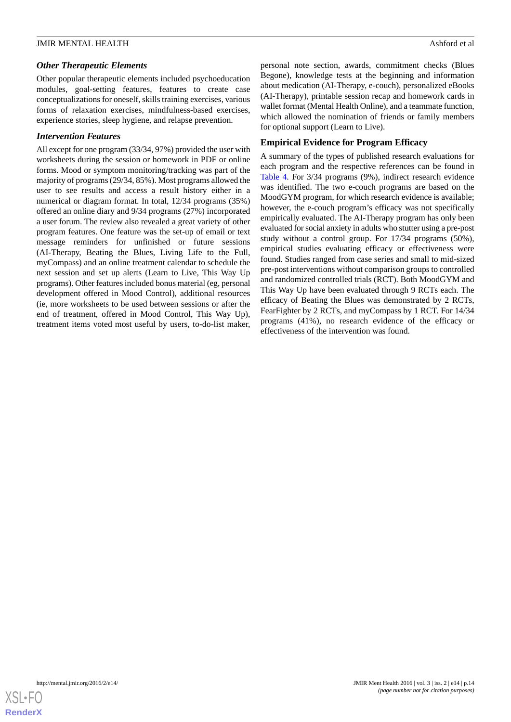### *Other Therapeutic Elements*

Other popular therapeutic elements included psychoeducation modules, goal-setting features, features to create case conceptualizations for oneself, skills training exercises, various forms of relaxation exercises, mindfulness-based exercises, experience stories, sleep hygiene, and relapse prevention.

#### *Intervention Features*

All except for one program (33/34, 97%) provided the user with worksheets during the session or homework in PDF or online forms. Mood or symptom monitoring/tracking was part of the majority of programs (29/34, 85%). Most programs allowed the user to see results and access a result history either in a numerical or diagram format. In total, 12/34 programs (35%) offered an online diary and 9/34 programs (27%) incorporated a user forum. The review also revealed a great variety of other program features. One feature was the set-up of email or text message reminders for unfinished or future sessions (AI-Therapy, Beating the Blues, Living Life to the Full, myCompass) and an online treatment calendar to schedule the next session and set up alerts (Learn to Live, This Way Up programs). Other features included bonus material (eg, personal development offered in Mood Control), additional resources (ie, more worksheets to be used between sessions or after the end of treatment, offered in Mood Control, This Way Up), treatment items voted most useful by users, to-do-list maker,

personal note section, awards, commitment checks (Blues Begone), knowledge tests at the beginning and information about medication (AI-Therapy, e-couch), personalized eBooks (AI-Therapy), printable session recap and homework cards in wallet format (Mental Health Online), and a teammate function, which allowed the nomination of friends or family members for optional support (Learn to Live).

# **Empirical Evidence for Program Efficacy**

A summary of the types of published research evaluations for each program and the respective references can be found in [Table 4](#page-15-0). For 3/34 programs (9%), indirect research evidence was identified. The two e-couch programs are based on the MoodGYM program, for which research evidence is available; however, the e-couch program's efficacy was not specifically empirically evaluated. The AI-Therapy program has only been evaluated for social anxiety in adults who stutter using a pre-post study without a control group. For 17/34 programs (50%), empirical studies evaluating efficacy or effectiveness were found. Studies ranged from case series and small to mid-sized pre-post interventions without comparison groups to controlled and randomized controlled trials (RCT). Both MoodGYM and This Way Up have been evaluated through 9 RCTs each. The efficacy of Beating the Blues was demonstrated by 2 RCTs, FearFighter by 2 RCTs, and myCompass by 1 RCT. For 14/34 programs (41%), no research evidence of the efficacy or effectiveness of the intervention was found.

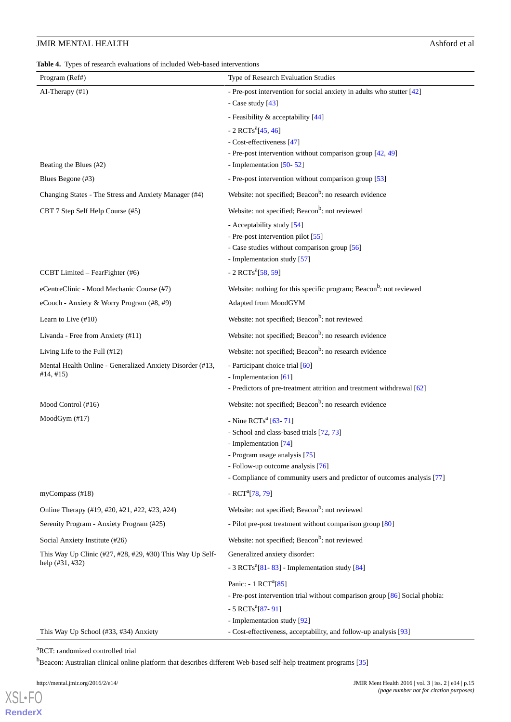<span id="page-15-0"></span>**Table 4.** Types of research evaluations of included Web-based interventions

| Program (Ref#)                                                                   | Type of Research Evaluation Studies                                                                                                                                                                                                                    |
|----------------------------------------------------------------------------------|--------------------------------------------------------------------------------------------------------------------------------------------------------------------------------------------------------------------------------------------------------|
| AI-Therapy (#1)                                                                  | - Pre-post intervention for social anxiety in adults who stutter [42]<br>- Case study $[43]$                                                                                                                                                           |
|                                                                                  | - Feasibility & acceptability [44]                                                                                                                                                                                                                     |
| Beating the Blues (#2)                                                           | - 2 RCTs <sup>a</sup> [45, 46]<br>- Cost-effectiveness [47]<br>- Pre-post intervention without comparison group [42, 49]<br>- Implementation [50-52]                                                                                                   |
| Blues Begone (#3)                                                                | - Pre-post intervention without comparison group [53]                                                                                                                                                                                                  |
| Changing States - The Stress and Anxiety Manager (#4)                            | Website: not specified; Beacon <sup>b</sup> : no research evidence                                                                                                                                                                                     |
| CBT 7 Step Self Help Course (#5)                                                 | Website: not specified; Beacon <sup>b</sup> : not reviewed                                                                                                                                                                                             |
|                                                                                  | - Acceptability study [54]<br>- Pre-post intervention pilot [55]<br>- Case studies without comparison group [56]<br>- Implementation study [57]                                                                                                        |
| CCBT Limited - FearFighter (#6)                                                  | - 2 RCTs <sup>a</sup> [58, 59]                                                                                                                                                                                                                         |
| eCentreClinic - Mood Mechanic Course (#7)                                        | Website: nothing for this specific program; Beacon <sup>b</sup> : not reviewed                                                                                                                                                                         |
| eCouch - Anxiety & Worry Program (#8, #9)                                        | Adapted from MoodGYM                                                                                                                                                                                                                                   |
| Learn to Live $(\#10)$                                                           | Website: not specified; Beacon <sup>b</sup> : not reviewed                                                                                                                                                                                             |
| Livanda - Free from Anxiety (#11)                                                | Website: not specified; Beacon <sup>b</sup> : no research evidence                                                                                                                                                                                     |
| Living Life to the Full (#12)                                                    | Website: not specified; Beacon <sup>b</sup> : no research evidence                                                                                                                                                                                     |
| Mental Health Online - Generalized Anxiety Disorder (#13,<br>#14, #15)           | - Participant choice trial [60]<br>- Implementation [61]<br>- Predictors of pre-treatment attrition and treatment withdrawal [62]                                                                                                                      |
| Mood Control (#16)                                                               | Website: not specified; Beacon <sup>b</sup> : no research evidence                                                                                                                                                                                     |
| MoodGym (#17)                                                                    | - Nine RCTs <sup>a</sup> [63-71]<br>- School and class-based trials [72, 73]<br>- Implementation [74]<br>- Program usage analysis [75]<br>- Follow-up outcome analysis [76]<br>- Compliance of community users and predictor of outcomes analysis [77] |
| myCompass $(\#18)$                                                               | - RCT <sup>a</sup> [78, 79]                                                                                                                                                                                                                            |
| Online Therapy (#19, #20, #21, #22, #23, #24)                                    | Website: not specified; Beacon <sup>b</sup> : not reviewed                                                                                                                                                                                             |
| Serenity Program - Anxiety Program (#25)                                         | - Pilot pre-post treatment without comparison group [80]                                                                                                                                                                                               |
| Social Anxiety Institute (#26)                                                   | Website: not specified; Beacon <sup>b</sup> : not reviewed                                                                                                                                                                                             |
| This Way Up Clinic (#27, #28, #29, #30) This Way Up Self-<br>help $(\#31, \#32)$ | Generalized anxiety disorder:<br>- 3 RCTs <sup>a</sup> $[81 - 83]$ - Implementation study $[84]$                                                                                                                                                       |
| This Way Up School (#33, #34) Anxiety                                            | Panic: - 1 RCT <sup>a</sup> [85]<br>- Pre-post intervention trial without comparison group [86] Social phobia:<br>$-5$ RCTs <sup>a</sup> [87-91]<br>- Implementation study [92]<br>- Cost-effectiveness, acceptability, and follow-up analysis [93]    |

<sup>a</sup>RCT: randomized controlled trial

<sup>b</sup>Beacon: Australian clinical online platform that describes different Web-based self-help treatment programs [\[35\]](#page-20-5)

[XSL](http://www.w3.org/Style/XSL)•FO **[RenderX](http://www.renderx.com/)**

 $\overline{a}$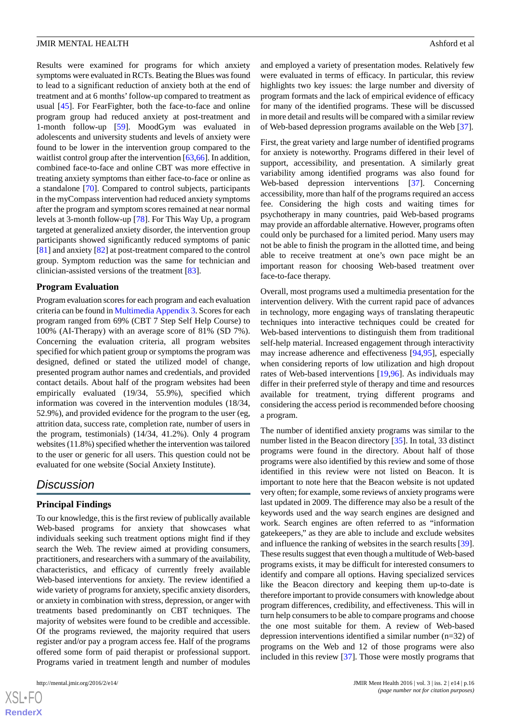Results were examined for programs for which anxiety symptoms were evaluated in RCTs. Beating the Blues was found to lead to a significant reduction of anxiety both at the end of treatment and at 6 months'follow-up compared to treatment as usual [[45\]](#page-20-16). For FearFighter, both the face-to-face and online program group had reduced anxiety at post-treatment and 1-month follow-up [\[59](#page-21-4)]. MoodGym was evaluated in adolescents and university students and levels of anxiety were found to be lower in the intervention group compared to the waitlist control group after the intervention [\[63](#page-21-8),[66\]](#page-21-15). In addition, combined face-to-face and online CBT was more effective in treating anxiety symptoms than either face-to-face or online as a standalone [[70\]](#page-21-16). Compared to control subjects, participants in the myCompass intervention had reduced anxiety symptoms after the program and symptom scores remained at near normal levels at 3-month follow-up [[78\]](#page-22-1). For This Way Up, a program targeted at generalized anxiety disorder, the intervention group participants showed significantly reduced symptoms of panic [[81\]](#page-22-4) and anxiety [[82\]](#page-22-13) at post-treatment compared to the control group. Symptom reduction was the same for technician and clinician-assisted versions of the treatment [[83\]](#page-22-5).

#### **Program Evaluation**

Program evaluation scores for each program and each evaluation criteria can be found in [Multimedia Appendix 3.](#page-18-6) Scores for each program ranged from 69% (CBT 7 Step Self Help Course) to 100% (AI-Therapy) with an average score of 81% (SD 7%). Concerning the evaluation criteria, all program websites specified for which patient group or symptoms the program was designed, defined or stated the utilized model of change, presented program author names and credentials, and provided contact details. About half of the program websites had been empirically evaluated (19/34, 55.9%), specified which information was covered in the intervention modules (18/34, 52.9%), and provided evidence for the program to the user (eg, attrition data, success rate, completion rate, number of users in the program, testimonials) (14/34, 41.2%). Only 4 program websites (11.8%) specified whether the intervention was tailored to the user or generic for all users. This question could not be evaluated for one website (Social Anxiety Institute).

# *Discussion*

#### **Principal Findings**

To our knowledge, this is the first review of publically available Web-based programs for anxiety that showcases what individuals seeking such treatment options might find if they search the Web. The review aimed at providing consumers, practitioners, and researchers with a summary of the availability, characteristics, and efficacy of currently freely available Web-based interventions for anxiety. The review identified a wide variety of programs for anxiety, specific anxiety disorders, or anxiety in combination with stress, depression, or anger with treatments based predominantly on CBT techniques. The majority of websites were found to be credible and accessible. Of the programs reviewed, the majority required that users register and/or pay a program access fee. Half of the programs offered some form of paid therapist or professional support. Programs varied in treatment length and number of modules

and employed a variety of presentation modes. Relatively few were evaluated in terms of efficacy. In particular, this review highlights two key issues: the large number and diversity of program formats and the lack of empirical evidence of efficacy for many of the identified programs. These will be discussed in more detail and results will be compared with a similar review of Web-based depression programs available on the Web [[37\]](#page-20-7).

First, the great variety and large number of identified programs for anxiety is noteworthy. Programs differed in their level of support, accessibility, and presentation. A similarly great variability among identified programs was also found for Web-based depression interventions [\[37](#page-20-7)]. Concerning accessibility, more than half of the programs required an access fee. Considering the high costs and waiting times for psychotherapy in many countries, paid Web-based programs may provide an affordable alternative. However, programs often could only be purchased for a limited period. Many users may not be able to finish the program in the allotted time, and being able to receive treatment at one's own pace might be an important reason for choosing Web-based treatment over face-to-face therapy.

Overall, most programs used a multimedia presentation for the intervention delivery. With the current rapid pace of advances in technology, more engaging ways of translating therapeutic techniques into interactive techniques could be created for Web-based interventions to distinguish them from traditional self-help material. Increased engagement through interactivity may increase adherence and effectiveness [[94](#page-22-14)[,95](#page-22-15)], especially when considering reports of low utilization and high dropout rates of Web-based interventions [[19,](#page-19-12)[96](#page-22-16)]. As individuals may differ in their preferred style of therapy and time and resources available for treatment, trying different programs and considering the access period is recommended before choosing a program.

The number of identified anxiety programs was similar to the number listed in the Beacon directory [\[35](#page-20-5)]. In total, 33 distinct programs were found in the directory. About half of those programs were also identified by this review and some of those identified in this review were not listed on Beacon. It is important to note here that the Beacon website is not updated very often; for example, some reviews of anxiety programs were last updated in 2009. The difference may also be a result of the keywords used and the way search engines are designed and work. Search engines are often referred to as "information gatekeepers," as they are able to include and exclude websites and influence the ranking of websites in the search results [[39\]](#page-20-9). These results suggest that even though a multitude of Web-based programs exists, it may be difficult for interested consumers to identify and compare all options. Having specialized services like the Beacon directory and keeping them up-to-date is therefore important to provide consumers with knowledge about program differences, credibility, and effectiveness. This will in turn help consumers to be able to compare programs and choose the one most suitable for them. A review of Web-based depression interventions identified a similar number (n=32) of programs on the Web and 12 of those programs were also included in this review [\[37](#page-20-7)]. Those were mostly programs that

 $XS$  $\cdot$ FC **[RenderX](http://www.renderx.com/)**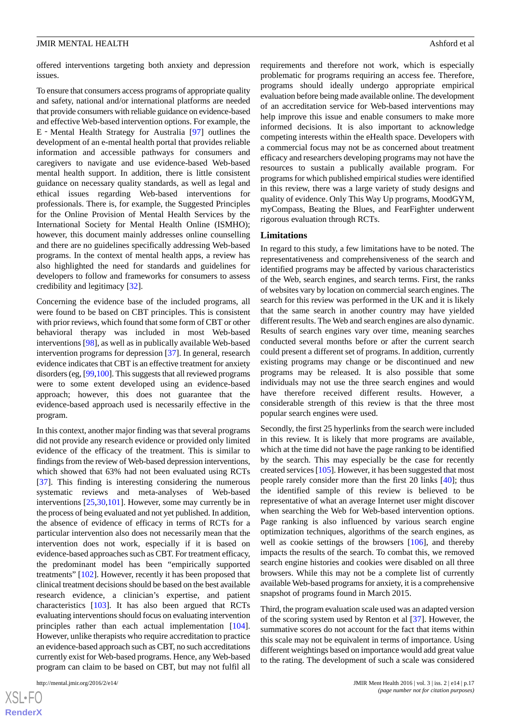offered interventions targeting both anxiety and depression issues.

To ensure that consumers access programs of appropriate quality and safety, national and/or international platforms are needed that provide consumers with reliable guidance on evidence-based and effective Web-based intervention options. For example, the E‐Mental Health Strategy for Australia [\[97](#page-22-17)] outlines the development of an e-mental health portal that provides reliable information and accessible pathways for consumers and caregivers to navigate and use evidence-based Web-based mental health support. In addition, there is little consistent guidance on necessary quality standards, as well as legal and ethical issues regarding Web-based interventions for professionals. There is, for example, the Suggested Principles for the Online Provision of Mental Health Services by the International Society for Mental Health Online (ISMHO); however, this document mainly addresses online counselling and there are no guidelines specifically addressing Web-based programs. In the context of mental health apps, a review has also highlighted the need for standards and guidelines for developers to follow and frameworks for consumers to assess credibility and legitimacy [[32\]](#page-20-2).

Concerning the evidence base of the included programs, all were found to be based on CBT principles. This is consistent with prior reviews, which found that some form of CBT or other behavioral therapy was included in most Web-based interventions [[98\]](#page-22-18), as well as in publically available Web-based intervention programs for depression [\[37](#page-20-7)]. In general, research evidence indicates that CBT is an effective treatment for anxiety disorders (eg, [\[99](#page-22-19)[,100](#page-23-0)]. This suggests that all reviewed programs were to some extent developed using an evidence-based approach; however, this does not guarantee that the evidence-based approach used is necessarily effective in the program.

In this context, another major finding was that several programs did not provide any research evidence or provided only limited evidence of the efficacy of the treatment. This is similar to findings from the review of Web-based depression interventions, which showed that 63% had not been evaluated using RCTs [[37\]](#page-20-7). This finding is interesting considering the numerous systematic reviews and meta-analyses of Web-based interventions [\[25](#page-19-17)[,30](#page-20-0),[101](#page-23-1)]. However, some may currently be in the process of being evaluated and not yet published. In addition, the absence of evidence of efficacy in terms of RCTs for a particular intervention also does not necessarily mean that the intervention does not work, especially if it is based on evidence-based approaches such as CBT. For treatment efficacy, the predominant model has been "empirically supported treatments" [\[102](#page-23-2)]. However, recently it has been proposed that clinical treatment decisions should be based on the best available research evidence, a clinician's expertise, and patient characteristics [\[103](#page-23-3)]. It has also been argued that RCTs evaluating interventions should focus on evaluating intervention principles rather than each actual implementation [[104\]](#page-23-4). However, unlike therapists who require accreditation to practice an evidence-based approach such as CBT, no such accreditations currently exist for Web-based programs. Hence, any Web-based program can claim to be based on CBT, but may not fulfil all

requirements and therefore not work, which is especially problematic for programs requiring an access fee. Therefore, programs should ideally undergo appropriate empirical evaluation before being made available online. The development of an accreditation service for Web-based interventions may help improve this issue and enable consumers to make more informed decisions. It is also important to acknowledge competing interests within the eHealth space. Developers with a commercial focus may not be as concerned about treatment efficacy and researchers developing programs may not have the resources to sustain a publically available program. For programs for which published empirical studies were identified in this review, there was a large variety of study designs and quality of evidence. Only This Way Up programs, MoodGYM, myCompass, Beating the Blues, and FearFighter underwent rigorous evaluation through RCTs.

#### **Limitations**

In regard to this study, a few limitations have to be noted. The representativeness and comprehensiveness of the search and identified programs may be affected by various characteristics of the Web, search engines, and search terms. First, the ranks of websites vary by location on commercial search engines. The search for this review was performed in the UK and it is likely that the same search in another country may have yielded different results. The Web and search engines are also dynamic. Results of search engines vary over time, meaning searches conducted several months before or after the current search could present a different set of programs. In addition, currently existing programs may change or be discontinued and new programs may be released. It is also possible that some individuals may not use the three search engines and would have therefore received different results. However, a considerable strength of this review is that the three most popular search engines were used.

Secondly, the first 25 hyperlinks from the search were included in this review. It is likely that more programs are available, which at the time did not have the page ranking to be identified by the search. This may especially be the case for recently created services [\[105\]](#page-23-5). However, it has been suggested that most people rarely consider more than the first 20 links [[40\]](#page-20-10); thus the identified sample of this review is believed to be representative of what an average Internet user might discover when searching the Web for Web-based intervention options. Page ranking is also influenced by various search engine optimization techniques, algorithms of the search engines, as well as cookie settings of the browsers  $[106]$  $[106]$ , and thereby impacts the results of the search. To combat this, we removed search engine histories and cookies were disabled on all three browsers. While this may not be a complete list of currently available Web-based programs for anxiety, it is a comprehensive snapshot of programs found in March 2015.

Third, the program evaluation scale used was an adapted version of the scoring system used by Renton et al [\[37](#page-20-7)]. However, the summative scores do not account for the fact that items within this scale may not be equivalent in terms of importance. Using different weightings based on importance would add great value to the rating. The development of such a scale was considered

 $XS$ -FO **[RenderX](http://www.renderx.com/)**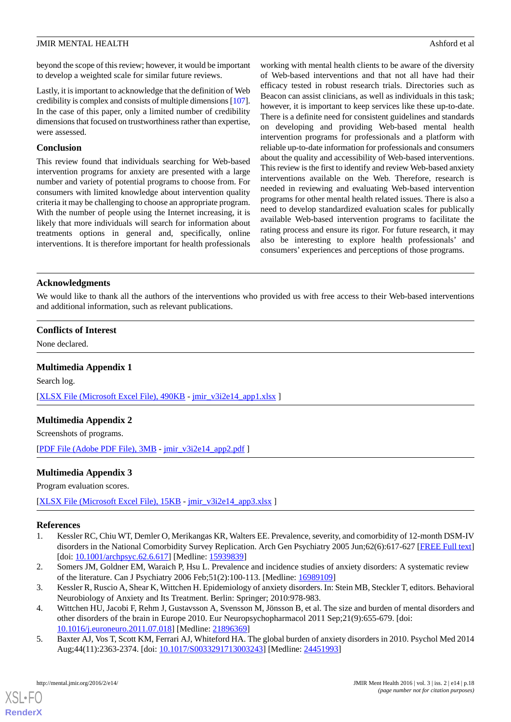beyond the scope of this review; however, it would be important to develop a weighted scale for similar future reviews.

Lastly, it is important to acknowledge that the definition of Web credibility is complex and consists of multiple dimensions [\[107\]](#page-23-7). In the case of this paper, only a limited number of credibility dimensions that focused on trustworthiness rather than expertise, were assessed.

#### **Conclusion**

This review found that individuals searching for Web-based intervention programs for anxiety are presented with a large number and variety of potential programs to choose from. For consumers with limited knowledge about intervention quality criteria it may be challenging to choose an appropriate program. With the number of people using the Internet increasing, it is likely that more individuals will search for information about treatments options in general and, specifically, online interventions. It is therefore important for health professionals working with mental health clients to be aware of the diversity of Web-based interventions and that not all have had their efficacy tested in robust research trials. Directories such as Beacon can assist clinicians, as well as individuals in this task; however, it is important to keep services like these up-to-date. There is a definite need for consistent guidelines and standards on developing and providing Web-based mental health intervention programs for professionals and a platform with reliable up-to-date information for professionals and consumers about the quality and accessibility of Web-based interventions. This review is the first to identify and review Web-based anxiety interventions available on the Web. Therefore, research is needed in reviewing and evaluating Web-based intervention programs for other mental health related issues. There is also a need to develop standardized evaluation scales for publically available Web-based intervention programs to facilitate the rating process and ensure its rigor. For future research, it may also be interesting to explore health professionals' and consumers' experiences and perceptions of those programs.

#### **Acknowledgments**

We would like to thank all the authors of the interventions who provided us with free access to their Web-based interventions and additional information, such as relevant publications.

#### <span id="page-18-4"></span>**Conflicts of Interest**

None declared.

# **Multimedia Appendix 1**

<span id="page-18-5"></span>Search log. [[XLSX File \(Microsoft Excel File\), 490KB](jmir_v3i2e14_app1.xlsx) - [jmir\\_v3i2e14\\_app1.xlsx](jmir_v3i2e14_app1.xlsx) ]

# <span id="page-18-6"></span>**Multimedia Appendix 2**

Screenshots of programs.

[[PDF File \(Adobe PDF File\), 3MB](jmir_v3i2e14_app2.pdf) - [jmir\\_v3i2e14\\_app2.pdf](jmir_v3i2e14_app2.pdf) ]

# **Multimedia Appendix 3**

<span id="page-18-0"></span>Program evaluation scores.

<span id="page-18-1"></span>[[XLSX File \(Microsoft Excel File\), 15KB](jmir_v3i2e14_app3.xlsx) - [jmir\\_v3i2e14\\_app3.xlsx](jmir_v3i2e14_app3.xlsx) ]

#### **References**

- <span id="page-18-2"></span>1. Kessler RC, Chiu WT, Demler O, Merikangas KR, Walters EE. Prevalence, severity, and comorbidity of 12-month DSM-IV disorders in the National Comorbidity Survey Replication. Arch Gen Psychiatry 2005 Jun;62(6):617-627 [\[FREE Full text](http://europepmc.org/abstract/MED/15939839)] [doi: [10.1001/archpsyc.62.6.617](http://dx.doi.org/10.1001/archpsyc.62.6.617)] [Medline: [15939839](http://www.ncbi.nlm.nih.gov/entrez/query.fcgi?cmd=Retrieve&db=PubMed&list_uids=15939839&dopt=Abstract)]
- <span id="page-18-3"></span>2. Somers JM, Goldner EM, Waraich P, Hsu L. Prevalence and incidence studies of anxiety disorders: A systematic review of the literature. Can J Psychiatry 2006 Feb;51(2):100-113. [Medline: [16989109\]](http://www.ncbi.nlm.nih.gov/entrez/query.fcgi?cmd=Retrieve&db=PubMed&list_uids=16989109&dopt=Abstract)
- 3. Kessler R, Ruscio A, Shear K, Wittchen H. Epidemiology of anxiety disorders. In: Stein MB, Steckler T, editors. Behavioral Neurobiology of Anxiety and Its Treatment. Berlin: Springer; 2010:978-983.
- 4. Wittchen HU, Jacobi F, Rehm J, Gustavsson A, Svensson M, Jönsson B, et al. The size and burden of mental disorders and other disorders of the brain in Europe 2010. Eur Neuropsychopharmacol 2011 Sep;21(9):655-679. [doi: [10.1016/j.euroneuro.2011.07.018](http://dx.doi.org/10.1016/j.euroneuro.2011.07.018)] [Medline: [21896369\]](http://www.ncbi.nlm.nih.gov/entrez/query.fcgi?cmd=Retrieve&db=PubMed&list_uids=21896369&dopt=Abstract)
- 5. Baxter AJ, Vos T, Scott KM, Ferrari AJ, Whiteford HA. The global burden of anxiety disorders in 2010. Psychol Med 2014 Aug;44(11):2363-2374. [doi: [10.1017/S0033291713003243](http://dx.doi.org/10.1017/S0033291713003243)] [Medline: [24451993](http://www.ncbi.nlm.nih.gov/entrez/query.fcgi?cmd=Retrieve&db=PubMed&list_uids=24451993&dopt=Abstract)]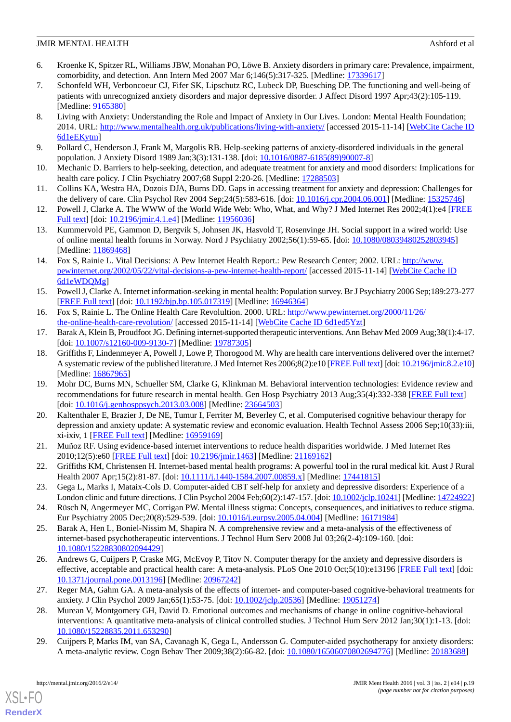- <span id="page-19-0"></span>6. Kroenke K, Spitzer RL, Williams JBW, Monahan PO, Löwe B. Anxiety disorders in primary care: Prevalence, impairment, comorbidity, and detection. Ann Intern Med 2007 Mar 6;146(5):317-325. [Medline: [17339617](http://www.ncbi.nlm.nih.gov/entrez/query.fcgi?cmd=Retrieve&db=PubMed&list_uids=17339617&dopt=Abstract)]
- 7. Schonfeld WH, Verboncoeur CJ, Fifer SK, Lipschutz RC, Lubeck DP, Buesching DP. The functioning and well-being of patients with unrecognized anxiety disorders and major depressive disorder. J Affect Disord 1997 Apr;43(2):105-119. [Medline: [9165380\]](http://www.ncbi.nlm.nih.gov/entrez/query.fcgi?cmd=Retrieve&db=PubMed&list_uids=9165380&dopt=Abstract)
- <span id="page-19-1"></span>8. Living with Anxiety: Understanding the Role and Impact of Anxiety in Our Lives. London: Mental Health Foundation; 2014. URL: <http://www.mentalhealth.org.uk/publications/living-with-anxiety/> [accessed 2015-11-14] [\[WebCite Cache ID](http://www.webcitation.org/6d1eEKytm) [6d1eEKytm\]](http://www.webcitation.org/6d1eEKytm)
- <span id="page-19-3"></span><span id="page-19-2"></span>9. Pollard C, Henderson J, Frank M, Margolis RB. Help-seeking patterns of anxiety-disordered individuals in the general population. J Anxiety Disord 1989 Jan;3(3):131-138. [doi: [10.1016/0887-6185\(89\)90007-8\]](http://dx.doi.org/10.1016/0887-6185(89)90007-8)
- <span id="page-19-4"></span>10. Mechanic D. Barriers to help-seeking, detection, and adequate treatment for anxiety and mood disorders: Implications for health care policy. J Clin Psychiatry 2007;68 Suppl 2:20-26. [Medline: [17288503\]](http://www.ncbi.nlm.nih.gov/entrez/query.fcgi?cmd=Retrieve&db=PubMed&list_uids=17288503&dopt=Abstract)
- <span id="page-19-5"></span>11. Collins KA, Westra HA, Dozois DJA, Burns DD. Gaps in accessing treatment for anxiety and depression: Challenges for the delivery of care. Clin Psychol Rev 2004 Sep;24(5):583-616. [doi: [10.1016/j.cpr.2004.06.001\]](http://dx.doi.org/10.1016/j.cpr.2004.06.001) [Medline: [15325746](http://www.ncbi.nlm.nih.gov/entrez/query.fcgi?cmd=Retrieve&db=PubMed&list_uids=15325746&dopt=Abstract)]
- <span id="page-19-6"></span>12. Powell J, Clarke A. The WWW of the World Wide Web: Who, What, and Why? J Med Internet Res 2002;4(1):e4 [[FREE](http://www.jmir.org/2002/1/e4/) [Full text\]](http://www.jmir.org/2002/1/e4/) [doi: [10.2196/jmir.4.1.e4\]](http://dx.doi.org/10.2196/jmir.4.1.e4) [Medline: [11956036](http://www.ncbi.nlm.nih.gov/entrez/query.fcgi?cmd=Retrieve&db=PubMed&list_uids=11956036&dopt=Abstract)]
- <span id="page-19-7"></span>13. Kummervold PE, Gammon D, Bergvik S, Johnsen JK, Hasvold T, Rosenvinge JH. Social support in a wired world: Use of online mental health forums in Norway. Nord J Psychiatry 2002;56(1):59-65. [doi: [10.1080/08039480252803945](http://dx.doi.org/10.1080/08039480252803945)] [Medline: [11869468](http://www.ncbi.nlm.nih.gov/entrez/query.fcgi?cmd=Retrieve&db=PubMed&list_uids=11869468&dopt=Abstract)]
- <span id="page-19-8"></span>14. Fox S, Rainie L. Vital Decisions: A Pew Internet Health Report.: Pew Research Center; 2002. URL: [http://www.](http://www.pewinternet.org/2002/05/22/vital-decisions-a-pew-internet-health-report/) [pewinternet.org/2002/05/22/vital-decisions-a-pew-internet-health-report/](http://www.pewinternet.org/2002/05/22/vital-decisions-a-pew-internet-health-report/) [accessed 2015-11-14] [[WebCite Cache ID](http://www.webcitation.org/6d1eWDQMg) [6d1eWDQMg\]](http://www.webcitation.org/6d1eWDQMg)
- <span id="page-19-10"></span><span id="page-19-9"></span>15. Powell J, Clarke A. Internet information-seeking in mental health: Population survey. Br J Psychiatry 2006 Sep;189:273-277 [[FREE Full text](http://bjp.rcpsych.org/cgi/pmidlookup?view=long&pmid=16946364)] [doi: [10.1192/bjp.bp.105.017319](http://dx.doi.org/10.1192/bjp.bp.105.017319)] [Medline: [16946364\]](http://www.ncbi.nlm.nih.gov/entrez/query.fcgi?cmd=Retrieve&db=PubMed&list_uids=16946364&dopt=Abstract)
- <span id="page-19-11"></span>16. Fox S, Rainie L. The Online Health Care Revolultion. 2000. URL: [http://www.pewinternet.org/2000/11/26/](http://www.pewinternet.org/2000/11/26/the-online-health-care-revolution/) [the-online-health-care-revolution/](http://www.pewinternet.org/2000/11/26/the-online-health-care-revolution/) [accessed 2015-11-14] [[WebCite Cache ID 6d1ed5Yzt](http://www.webcitation.org/6d1ed5Yzt)]
- 17. Barak A, Klein B, Proudfoot JG. Defining internet-supported therapeutic interventions. Ann Behav Med 2009 Aug;38(1):4-17. [doi: [10.1007/s12160-009-9130-7](http://dx.doi.org/10.1007/s12160-009-9130-7)] [Medline: [19787305\]](http://www.ncbi.nlm.nih.gov/entrez/query.fcgi?cmd=Retrieve&db=PubMed&list_uids=19787305&dopt=Abstract)
- <span id="page-19-12"></span>18. Griffiths F, Lindenmeyer A, Powell J, Lowe P, Thorogood M. Why are health care interventions delivered over the internet? A systematic review of the published literature. J Med Internet Res 2006;8(2):e10 [[FREE Full text\]](http://www.jmir.org/2006/2/e10/) [doi: [10.2196/jmir.8.2.e10\]](http://dx.doi.org/10.2196/jmir.8.2.e10) [Medline: [16867965](http://www.ncbi.nlm.nih.gov/entrez/query.fcgi?cmd=Retrieve&db=PubMed&list_uids=16867965&dopt=Abstract)]
- <span id="page-19-13"></span>19. Mohr DC, Burns MN, Schueller SM, Clarke G, Klinkman M. Behavioral intervention technologies: Evidence review and recommendations for future research in mental health. Gen Hosp Psychiatry 2013 Aug;35(4):332-338 [[FREE Full text\]](http://linkinghub.elsevier.com/retrieve/pii/S0163-8343(13)00069-8) [doi: <u>10.1016/j.genhosppsych.2013.03.008</u>] [Medline: [23664503](http://www.ncbi.nlm.nih.gov/entrez/query.fcgi?cmd=Retrieve&db=PubMed&list_uids=23664503&dopt=Abstract)]
- <span id="page-19-14"></span>20. Kaltenthaler E, Brazier J, De NE, Tumur I, Ferriter M, Beverley C, et al. Computerised cognitive behaviour therapy for depression and anxiety update: A systematic review and economic evaluation. Health Technol Assess 2006 Sep;10(33):iii, xi-ixiv, 1 [\[FREE Full text](http://www.journalslibrary.nihr.ac.uk/hta/volume-10/issue-33)] [Medline: [16959169](http://www.ncbi.nlm.nih.gov/entrez/query.fcgi?cmd=Retrieve&db=PubMed&list_uids=16959169&dopt=Abstract)]
- <span id="page-19-15"></span>21. Muñoz RF. Using evidence-based internet interventions to reduce health disparities worldwide. J Med Internet Res 2010;12(5):e60 [\[FREE Full text](http://www.jmir.org/2010/5/e60/)] [doi: [10.2196/jmir.1463\]](http://dx.doi.org/10.2196/jmir.1463) [Medline: [21169162](http://www.ncbi.nlm.nih.gov/entrez/query.fcgi?cmd=Retrieve&db=PubMed&list_uids=21169162&dopt=Abstract)]
- <span id="page-19-17"></span><span id="page-19-16"></span>22. Griffiths KM, Christensen H. Internet-based mental health programs: A powerful tool in the rural medical kit. Aust J Rural Health 2007 Apr;15(2):81-87. [doi: [10.1111/j.1440-1584.2007.00859.x](http://dx.doi.org/10.1111/j.1440-1584.2007.00859.x)] [Medline: [17441815\]](http://www.ncbi.nlm.nih.gov/entrez/query.fcgi?cmd=Retrieve&db=PubMed&list_uids=17441815&dopt=Abstract)
- 23. Gega L, Marks I, Mataix-Cols D. Computer-aided CBT self-help for anxiety and depressive disorders: Experience of a London clinic and future directions. J Clin Psychol 2004 Feb;60(2):147-157. [doi: [10.1002/jclp.10241\]](http://dx.doi.org/10.1002/jclp.10241) [Medline: [14724922\]](http://www.ncbi.nlm.nih.gov/entrez/query.fcgi?cmd=Retrieve&db=PubMed&list_uids=14724922&dopt=Abstract)
- <span id="page-19-18"></span>24. Rüsch N, Angermeyer MC, Corrigan PW. Mental illness stigma: Concepts, consequences, and initiatives to reduce stigma. Eur Psychiatry 2005 Dec;20(8):529-539. [doi: [10.1016/j.eurpsy.2005.04.004\]](http://dx.doi.org/10.1016/j.eurpsy.2005.04.004) [Medline: [16171984\]](http://www.ncbi.nlm.nih.gov/entrez/query.fcgi?cmd=Retrieve&db=PubMed&list_uids=16171984&dopt=Abstract)
- <span id="page-19-19"></span>25. Barak A, Hen L, Boniel-Nissim M, Shapira N. A comprehensive review and a meta-analysis of the effectiveness of internet-based psychotherapeutic interventions. J Technol Hum Serv 2008 Jul 03;26(2-4):109-160. [doi: [10.1080/15228830802094429\]](http://dx.doi.org/10.1080/15228830802094429)
- <span id="page-19-20"></span>26. Andrews G, Cuijpers P, Craske MG, McEvoy P, Titov N. Computer therapy for the anxiety and depressive disorders is effective, acceptable and practical health care: A meta-analysis. PLoS One 2010 Oct;5(10):e13196 [\[FREE Full text\]](http://dx.plos.org/10.1371/journal.pone.0013196) [doi: [10.1371/journal.pone.0013196\]](http://dx.doi.org/10.1371/journal.pone.0013196) [Medline: [20967242](http://www.ncbi.nlm.nih.gov/entrez/query.fcgi?cmd=Retrieve&db=PubMed&list_uids=20967242&dopt=Abstract)]
- <span id="page-19-21"></span>27. Reger MA, Gahm GA. A meta-analysis of the effects of internet- and computer-based cognitive-behavioral treatments for anxiety. J Clin Psychol 2009 Jan;65(1):53-75. [doi: [10.1002/jclp.20536](http://dx.doi.org/10.1002/jclp.20536)] [Medline: [19051274\]](http://www.ncbi.nlm.nih.gov/entrez/query.fcgi?cmd=Retrieve&db=PubMed&list_uids=19051274&dopt=Abstract)
- 28. Murean V, Montgomery GH, David D. Emotional outcomes and mechanisms of change in online cognitive-behavioral interventions: A quantitative meta-analysis of clinical controlled studies. J Technol Hum Serv 2012 Jan;30(1):1-13. [doi: [10.1080/15228835.2011.653290\]](http://dx.doi.org/10.1080/15228835.2011.653290)
- 29. Cuijpers P, Marks IM, van SA, Cavanagh K, Gega L, Andersson G. Computer-aided psychotherapy for anxiety disorders: A meta-analytic review. Cogn Behav Ther 2009;38(2):66-82. [doi: [10.1080/16506070802694776\]](http://dx.doi.org/10.1080/16506070802694776) [Medline: [20183688\]](http://www.ncbi.nlm.nih.gov/entrez/query.fcgi?cmd=Retrieve&db=PubMed&list_uids=20183688&dopt=Abstract)

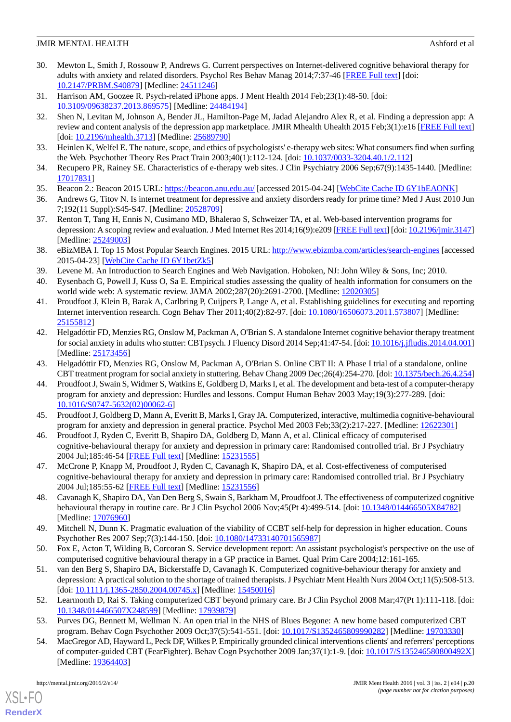- <span id="page-20-0"></span>30. Mewton L, Smith J, Rossouw P, Andrews G. Current perspectives on Internet-delivered cognitive behavioral therapy for adults with anxiety and related disorders. Psychol Res Behav Manag 2014;7:37-46 [[FREE Full text](http://dx.doi.org/10.2147/PRBM.S40879)] [doi: [10.2147/PRBM.S40879\]](http://dx.doi.org/10.2147/PRBM.S40879) [Medline: [24511246](http://www.ncbi.nlm.nih.gov/entrez/query.fcgi?cmd=Retrieve&db=PubMed&list_uids=24511246&dopt=Abstract)]
- <span id="page-20-2"></span><span id="page-20-1"></span>31. Harrison AM, Goozee R. Psych-related iPhone apps. J Ment Health 2014 Feb;23(1):48-50. [doi: [10.3109/09638237.2013.869575\]](http://dx.doi.org/10.3109/09638237.2013.869575) [Medline: [24484194\]](http://www.ncbi.nlm.nih.gov/entrez/query.fcgi?cmd=Retrieve&db=PubMed&list_uids=24484194&dopt=Abstract)
- 32. Shen N, Levitan M, Johnson A, Bender JL, Hamilton-Page M, Jadad Alejandro Alex R, et al. Finding a depression app: A review and content analysis of the depression app marketplace. JMIR Mhealth Uhealth 2015 Feb;3(1):e16 [[FREE Full text](http://mhealth.jmir.org/2015/1/e16/)] [doi: [10.2196/mhealth.3713\]](http://dx.doi.org/10.2196/mhealth.3713) [Medline: [25689790\]](http://www.ncbi.nlm.nih.gov/entrez/query.fcgi?cmd=Retrieve&db=PubMed&list_uids=25689790&dopt=Abstract)
- <span id="page-20-4"></span><span id="page-20-3"></span>33. Heinlen K, Welfel E. The nature, scope, and ethics of psychologists' e-therapy web sites: What consumers find when surfing the Web. Psychother Theory Res Pract Train 2003;40(1):112-124. [doi: [10.1037/0033-3204.40.1/2.112](http://dx.doi.org/10.1037/0033-3204.40.1/2.112)]
- <span id="page-20-5"></span>34. Recupero PR, Rainey SE. Characteristics of e-therapy web sites. J Clin Psychiatry 2006 Sep;67(9):1435-1440. [Medline: [17017831](http://www.ncbi.nlm.nih.gov/entrez/query.fcgi?cmd=Retrieve&db=PubMed&list_uids=17017831&dopt=Abstract)]
- <span id="page-20-6"></span>35. Beacon 2.: Beacon 2015 URL:<https://beacon.anu.edu.au/> [accessed 2015-04-24] [[WebCite Cache ID 6Y1bEAONK](http://www.webcitation.org/6Y1bEAONK)]
- <span id="page-20-7"></span>36. Andrews G, Titov N. Is internet treatment for depressive and anxiety disorders ready for prime time? Med J Aust 2010 Jun 7;192(11 Suppl):S45-S47. [Medline: [20528709\]](http://www.ncbi.nlm.nih.gov/entrez/query.fcgi?cmd=Retrieve&db=PubMed&list_uids=20528709&dopt=Abstract)
- <span id="page-20-8"></span>37. Renton T, Tang H, Ennis N, Cusimano MD, Bhalerao S, Schweizer TA, et al. Web-based intervention programs for depression: A scoping review and evaluation. J Med Internet Res 2014;16(9):e209 [[FREE Full text](http://www.jmir.org/2014/9/e209/)] [doi: [10.2196/jmir.3147\]](http://dx.doi.org/10.2196/jmir.3147) [Medline: [25249003](http://www.ncbi.nlm.nih.gov/entrez/query.fcgi?cmd=Retrieve&db=PubMed&list_uids=25249003&dopt=Abstract)]
- <span id="page-20-10"></span><span id="page-20-9"></span>38. eBizMBA I. Top 15 Most Popular Search Engines. 2015 URL:<http://www.ebizmba.com/articles/search-engines> [accessed 2015-04-23] [\[WebCite Cache ID 6Y1betZk5\]](http://www.webcitation.org/6Y1betZk5)
- <span id="page-20-11"></span>39. Levene M. An Introduction to Search Engines and Web Navigation. Hoboken, NJ: John Wiley & Sons, Inc; 2010.
- 40. Eysenbach G, Powell J, Kuss O, Sa E. Empirical studies assessing the quality of health information for consumers on the world wide web: A systematic review. JAMA 2002;287(20):2691-2700. [Medline: [12020305](http://www.ncbi.nlm.nih.gov/entrez/query.fcgi?cmd=Retrieve&db=PubMed&list_uids=12020305&dopt=Abstract)]
- <span id="page-20-13"></span>41. Proudfoot J, Klein B, Barak A, Carlbring P, Cuijpers P, Lange A, et al. Establishing guidelines for executing and reporting Internet intervention research. Cogn Behav Ther 2011;40(2):82-97. [doi: [10.1080/16506073.2011.573807\]](http://dx.doi.org/10.1080/16506073.2011.573807) [Medline: [25155812](http://www.ncbi.nlm.nih.gov/entrez/query.fcgi?cmd=Retrieve&db=PubMed&list_uids=25155812&dopt=Abstract)]
- <span id="page-20-15"></span><span id="page-20-14"></span>42. Helgadóttir FD, Menzies RG, Onslow M, Packman A, O'Brian S. A standalone Internet cognitive behavior therapy treatment for social anxiety in adults who stutter: CBTpsych. J Fluency Disord 2014 Sep;41:47-54. [doi: [10.1016/j.jfludis.2014.04.001\]](http://dx.doi.org/10.1016/j.jfludis.2014.04.001) [Medline: [25173456](http://www.ncbi.nlm.nih.gov/entrez/query.fcgi?cmd=Retrieve&db=PubMed&list_uids=25173456&dopt=Abstract)]
- 43. Helgadóttir FD, Menzies RG, Onslow M, Packman A, O'Brian S. Online CBT II: A Phase I trial of a standalone, online CBT treatment program for social anxiety in stuttering. Behav Chang 2009 Dec;26(4):254-270. [doi: [10.1375/bech.26.4.254\]](http://dx.doi.org/10.1375/bech.26.4.254)
- <span id="page-20-17"></span><span id="page-20-16"></span>44. Proudfoot J, Swain S, Widmer S, Watkins E, Goldberg D, Marks I, et al. The development and beta-test of a computer-therapy program for anxiety and depression: Hurdles and lessons. Comput Human Behav 2003 May;19(3):277-289. [doi: [10.1016/S0747-5632\(02\)00062-6\]](http://dx.doi.org/10.1016/S0747-5632(02)00062-6)
- <span id="page-20-18"></span>45. Proudfoot J, Goldberg D, Mann A, Everitt B, Marks I, Gray JA. Computerized, interactive, multimedia cognitive-behavioural program for anxiety and depression in general practice. Psychol Med 2003 Feb;33(2):217-227. [Medline: [12622301](http://www.ncbi.nlm.nih.gov/entrez/query.fcgi?cmd=Retrieve&db=PubMed&list_uids=12622301&dopt=Abstract)]
- 46. Proudfoot J, Ryden C, Everitt B, Shapiro DA, Goldberg D, Mann A, et al. Clinical efficacy of computerised cognitive-behavioural therapy for anxiety and depression in primary care: Randomised controlled trial. Br J Psychiatry 2004 Jul;185:46-54 [\[FREE Full text\]](http://bjp.rcpsych.org/cgi/pmidlookup?view=long&pmid=15231555) [Medline: [15231555\]](http://www.ncbi.nlm.nih.gov/entrez/query.fcgi?cmd=Retrieve&db=PubMed&list_uids=15231555&dopt=Abstract)
- <span id="page-20-12"></span>47. McCrone P, Knapp M, Proudfoot J, Ryden C, Cavanagh K, Shapiro DA, et al. Cost-effectiveness of computerised cognitive-behavioural therapy for anxiety and depression in primary care: Randomised controlled trial. Br J Psychiatry 2004 Jul;185:55-62 [\[FREE Full text\]](http://bjp.rcpsych.org/cgi/pmidlookup?view=long&pmid=15231556) [Medline: [15231556\]](http://www.ncbi.nlm.nih.gov/entrez/query.fcgi?cmd=Retrieve&db=PubMed&list_uids=15231556&dopt=Abstract)
- <span id="page-20-19"></span>48. Cavanagh K, Shapiro DA, Van Den Berg S, Swain S, Barkham M, Proudfoot J. The effectiveness of computerized cognitive behavioural therapy in routine care. Br J Clin Psychol 2006 Nov;45(Pt 4):499-514. [doi: [10.1348/014466505X84782\]](http://dx.doi.org/10.1348/014466505X84782) [Medline: [17076960](http://www.ncbi.nlm.nih.gov/entrez/query.fcgi?cmd=Retrieve&db=PubMed&list_uids=17076960&dopt=Abstract)]
- 49. Mitchell N, Dunn K. Pragmatic evaluation of the viability of CCBT self-help for depression in higher education. Couns Psychother Res 2007 Sep;7(3):144-150. [doi: [10.1080/14733140701565987\]](http://dx.doi.org/10.1080/14733140701565987)
- <span id="page-20-21"></span><span id="page-20-20"></span>50. Fox E, Acton T, Wilding B, Corcoran S. Service development report: An assistant psychologist's perspective on the use of computerised cognitive behavioural therapy in a GP practice in Barnet. Qual Prim Care 2004;12:161-165.
- <span id="page-20-22"></span>51. van den Berg S, Shapiro DA, Bickerstaffe D, Cavanagh K. Computerized cognitive-behaviour therapy for anxiety and depression: A practical solution to the shortage of trained therapists. J Psychiatr Ment Health Nurs 2004 Oct;11(5):508-513. [doi: [10.1111/j.1365-2850.2004.00745.x](http://dx.doi.org/10.1111/j.1365-2850.2004.00745.x)] [Medline: [15450016](http://www.ncbi.nlm.nih.gov/entrez/query.fcgi?cmd=Retrieve&db=PubMed&list_uids=15450016&dopt=Abstract)]
- 52. Learmonth D, Rai S. Taking computerized CBT beyond primary care. Br J Clin Psychol 2008 Mar;47(Pt 1):111-118. [doi: [10.1348/014466507X248599](http://dx.doi.org/10.1348/014466507X248599)] [Medline: [17939879\]](http://www.ncbi.nlm.nih.gov/entrez/query.fcgi?cmd=Retrieve&db=PubMed&list_uids=17939879&dopt=Abstract)
- 53. Purves DG, Bennett M, Wellman N. An open trial in the NHS of Blues Begone: A new home based computerized CBT program. Behav Cogn Psychother 2009 Oct;37(5):541-551. [doi: [10.1017/S1352465809990282](http://dx.doi.org/10.1017/S1352465809990282)] [Medline: [19703330\]](http://www.ncbi.nlm.nih.gov/entrez/query.fcgi?cmd=Retrieve&db=PubMed&list_uids=19703330&dopt=Abstract)
- 54. MacGregor AD, Hayward L, Peck DF, Wilkes P. Empirically grounded clinical interventions clients' and referrers' perceptions of computer-guided CBT (FearFighter). Behav Cogn Psychother 2009 Jan;37(1):1-9. [doi: [10.1017/S135246580800492X](http://dx.doi.org/10.1017/S135246580800492X)] [Medline: [19364403](http://www.ncbi.nlm.nih.gov/entrez/query.fcgi?cmd=Retrieve&db=PubMed&list_uids=19364403&dopt=Abstract)]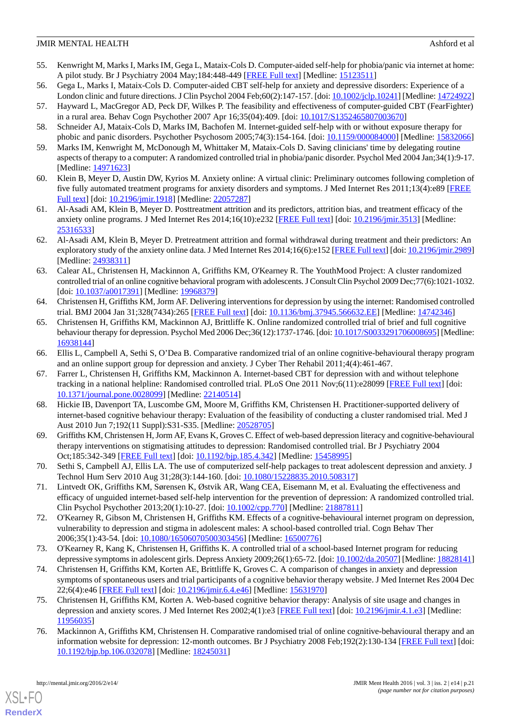- <span id="page-21-0"></span>55. Kenwright M, Marks I, Marks IM, Gega L, Mataix-Cols D. Computer-aided self-help for phobia/panic via internet at home: A pilot study. Br J Psychiatry 2004 May;184:448-449 [\[FREE Full text\]](http://bjp.rcpsych.org/cgi/pmidlookup?view=long&pmid=15123511) [Medline: [15123511\]](http://www.ncbi.nlm.nih.gov/entrez/query.fcgi?cmd=Retrieve&db=PubMed&list_uids=15123511&dopt=Abstract)
- <span id="page-21-1"></span>56. Gega L, Marks I, Mataix-Cols D. Computer-aided CBT self-help for anxiety and depressive disorders: Experience of a London clinic and future directions. J Clin Psychol 2004 Feb;60(2):147-157. [doi: [10.1002/jclp.10241\]](http://dx.doi.org/10.1002/jclp.10241) [Medline: [14724922\]](http://www.ncbi.nlm.nih.gov/entrez/query.fcgi?cmd=Retrieve&db=PubMed&list_uids=14724922&dopt=Abstract)
- <span id="page-21-2"></span>57. Hayward L, MacGregor AD, Peck DF, Wilkes P. The feasibility and effectiveness of computer-guided CBT (FearFighter) in a rural area. Behav Cogn Psychother 2007 Apr 16;35(04):409. [doi: [10.1017/S1352465807003670\]](http://dx.doi.org/10.1017/S1352465807003670)
- <span id="page-21-4"></span><span id="page-21-3"></span>58. Schneider AJ, Mataix-Cols D, Marks IM, Bachofen M. Internet-guided self-help with or without exposure therapy for phobic and panic disorders. Psychother Psychosom 2005;74(3):154-164. [doi: [10.1159/000084000](http://dx.doi.org/10.1159/000084000)] [Medline: [15832066\]](http://www.ncbi.nlm.nih.gov/entrez/query.fcgi?cmd=Retrieve&db=PubMed&list_uids=15832066&dopt=Abstract)
- <span id="page-21-5"></span>59. Marks IM, Kenwright M, McDonough M, Whittaker M, Mataix-Cols D. Saving clinicians' time by delegating routine aspects of therapy to a computer: A randomized controlled trial in phobia/panic disorder. Psychol Med 2004 Jan;34(1):9-17. [Medline: [14971623](http://www.ncbi.nlm.nih.gov/entrez/query.fcgi?cmd=Retrieve&db=PubMed&list_uids=14971623&dopt=Abstract)]
- <span id="page-21-6"></span>60. Klein B, Meyer D, Austin DW, Kyrios M. Anxiety online: A virtual clinic: Preliminary outcomes following completion of five fully automated treatment programs for anxiety disorders and symptoms. J Med Internet Res 2011;13(4):e89 [\[FREE](http://www.jmir.org/2011/4/e89/) [Full text\]](http://www.jmir.org/2011/4/e89/) [doi: [10.2196/jmir.1918](http://dx.doi.org/10.2196/jmir.1918)] [Medline: [22057287\]](http://www.ncbi.nlm.nih.gov/entrez/query.fcgi?cmd=Retrieve&db=PubMed&list_uids=22057287&dopt=Abstract)
- <span id="page-21-7"></span>61. Al-Asadi AM, Klein B, Meyer D. Posttreatment attrition and its predictors, attrition bias, and treatment efficacy of the anxiety online programs. J Med Internet Res 2014;16(10):e232 [\[FREE Full text\]](http://www.jmir.org/2014/10/e232/) [doi: [10.2196/jmir.3513](http://dx.doi.org/10.2196/jmir.3513)] [Medline: [25316533](http://www.ncbi.nlm.nih.gov/entrez/query.fcgi?cmd=Retrieve&db=PubMed&list_uids=25316533&dopt=Abstract)]
- <span id="page-21-8"></span>62. Al-Asadi AM, Klein B, Meyer D. Pretreatment attrition and formal withdrawal during treatment and their predictors: An exploratory study of the anxiety online data. J Med Internet Res 2014;16(6):e152 [\[FREE Full text](http://www.jmir.org/2014/6/e152/)] [doi: [10.2196/jmir.2989](http://dx.doi.org/10.2196/jmir.2989)] [Medline: [24938311](http://www.ncbi.nlm.nih.gov/entrez/query.fcgi?cmd=Retrieve&db=PubMed&list_uids=24938311&dopt=Abstract)]
- 63. Calear AL, Christensen H, Mackinnon A, Griffiths KM, O'Kearney R. The YouthMood Project: A cluster randomized controlled trial of an online cognitive behavioral program with adolescents. J Consult Clin Psychol 2009 Dec;77(6):1021-1032. [doi: [10.1037/a0017391\]](http://dx.doi.org/10.1037/a0017391) [Medline: [19968379](http://www.ncbi.nlm.nih.gov/entrez/query.fcgi?cmd=Retrieve&db=PubMed&list_uids=19968379&dopt=Abstract)]
- 64. Christensen H, Griffiths KM, Jorm AF. Delivering interventions for depression by using the internet: Randomised controlled trial. BMJ 2004 Jan 31;328(7434):265 [[FREE Full text](http://europepmc.org/abstract/MED/14742346)] [doi: [10.1136/bmj.37945.566632.EE](http://dx.doi.org/10.1136/bmj.37945.566632.EE)] [Medline: [14742346\]](http://www.ncbi.nlm.nih.gov/entrez/query.fcgi?cmd=Retrieve&db=PubMed&list_uids=14742346&dopt=Abstract)
- <span id="page-21-15"></span>65. Christensen H, Griffiths KM, Mackinnon AJ, Brittliffe K. Online randomized controlled trial of brief and full cognitive behaviour therapy for depression. Psychol Med 2006 Dec;36(12):1737-1746. [doi: [10.1017/S0033291706008695\]](http://dx.doi.org/10.1017/S0033291706008695) [Medline: [16938144](http://www.ncbi.nlm.nih.gov/entrez/query.fcgi?cmd=Retrieve&db=PubMed&list_uids=16938144&dopt=Abstract)]
- 66. Ellis L, Campbell A, Sethi S, O'Dea B. Comparative randomized trial of an online cognitive-behavioural therapy program and an online support group for depression and anxiety. J Cyber Ther Rehabil 2011;4(4):461-467.
- 67. Farrer L, Christensen H, Griffiths KM, Mackinnon A. Internet-based CBT for depression with and without telephone tracking in a national helpline: Randomised controlled trial. PLoS One 2011 Nov;6(11):e28099 [[FREE Full text](http://dx.plos.org/10.1371/journal.pone.0028099)] [doi: [10.1371/journal.pone.0028099\]](http://dx.doi.org/10.1371/journal.pone.0028099) [Medline: [22140514](http://www.ncbi.nlm.nih.gov/entrez/query.fcgi?cmd=Retrieve&db=PubMed&list_uids=22140514&dopt=Abstract)]
- 68. Hickie IB, Davenport TA, Luscombe GM, Moore M, Griffiths KM, Christensen H. Practitioner-supported delivery of internet-based cognitive behaviour therapy: Evaluation of the feasibility of conducting a cluster randomised trial. Med J Aust 2010 Jun 7;192(11 Suppl):S31-S35. [Medline: [20528705](http://www.ncbi.nlm.nih.gov/entrez/query.fcgi?cmd=Retrieve&db=PubMed&list_uids=20528705&dopt=Abstract)]
- <span id="page-21-16"></span><span id="page-21-9"></span>69. Griffiths KM, Christensen H, Jorm AF, Evans K, Groves C. Effect of web-based depression literacy and cognitive-behavioural therapy interventions on stigmatising attitudes to depression: Randomised controlled trial. Br J Psychiatry 2004 Oct;185:342-349 [[FREE Full text](http://bjp.rcpsych.org/cgi/pmidlookup?view=long&pmid=15458995)] [doi: [10.1192/bjp.185.4.342\]](http://dx.doi.org/10.1192/bjp.185.4.342) [Medline: [15458995\]](http://www.ncbi.nlm.nih.gov/entrez/query.fcgi?cmd=Retrieve&db=PubMed&list_uids=15458995&dopt=Abstract)
- <span id="page-21-10"></span>70. Sethi S, Campbell AJ, Ellis LA. The use of computerized self-help packages to treat adolescent depression and anxiety. J Technol Hum Serv 2010 Aug 31;28(3):144-160. [doi: [10.1080/15228835.2010.508317\]](http://dx.doi.org/10.1080/15228835.2010.508317)
- <span id="page-21-11"></span>71. Lintvedt OK, Griffiths KM, Sørensen K, Østvik AR, Wang CEA, Eisemann M, et al. Evaluating the effectiveness and efficacy of unguided internet-based self-help intervention for the prevention of depression: A randomized controlled trial. Clin Psychol Psychother 2013;20(1):10-27. [doi: [10.1002/cpp.770\]](http://dx.doi.org/10.1002/cpp.770) [Medline: [21887811](http://www.ncbi.nlm.nih.gov/entrez/query.fcgi?cmd=Retrieve&db=PubMed&list_uids=21887811&dopt=Abstract)]
- <span id="page-21-12"></span>72. O'Kearney R, Gibson M, Christensen H, Griffiths KM. Effects of a cognitive-behavioural internet program on depression, vulnerability to depression and stigma in adolescent males: A school-based controlled trial. Cogn Behav Ther 2006;35(1):43-54. [doi: [10.1080/16506070500303456\]](http://dx.doi.org/10.1080/16506070500303456) [Medline: [16500776\]](http://www.ncbi.nlm.nih.gov/entrez/query.fcgi?cmd=Retrieve&db=PubMed&list_uids=16500776&dopt=Abstract)
- <span id="page-21-13"></span>73. O'Kearney R, Kang K, Christensen H, Griffiths K. A controlled trial of a school-based Internet program for reducing depressive symptoms in adolescent girls. Depress Anxiety 2009;26(1):65-72. [doi: [10.1002/da.20507](http://dx.doi.org/10.1002/da.20507)] [Medline: [18828141\]](http://www.ncbi.nlm.nih.gov/entrez/query.fcgi?cmd=Retrieve&db=PubMed&list_uids=18828141&dopt=Abstract)
- <span id="page-21-14"></span>74. Christensen H, Griffiths KM, Korten AE, Brittliffe K, Groves C. A comparison of changes in anxiety and depression symptoms of spontaneous users and trial participants of a cognitive behavior therapy website. J Med Internet Res 2004 Dec 22;6(4):e46 [\[FREE Full text](http://www.jmir.org/2004/4/e46/)] [doi: [10.2196/jmir.6.4.e46\]](http://dx.doi.org/10.2196/jmir.6.4.e46) [Medline: [15631970\]](http://www.ncbi.nlm.nih.gov/entrez/query.fcgi?cmd=Retrieve&db=PubMed&list_uids=15631970&dopt=Abstract)
- 75. Christensen H, Griffiths KM, Korten A. Web-based cognitive behavior therapy: Analysis of site usage and changes in depression and anxiety scores. J Med Internet Res 2002;4(1):e3 [\[FREE Full text\]](http://www.jmir.org/2002/1/e3/) [doi: [10.2196/jmir.4.1.e3](http://dx.doi.org/10.2196/jmir.4.1.e3)] [Medline: [11956035](http://www.ncbi.nlm.nih.gov/entrez/query.fcgi?cmd=Retrieve&db=PubMed&list_uids=11956035&dopt=Abstract)]
- 76. Mackinnon A, Griffiths KM, Christensen H. Comparative randomised trial of online cognitive-behavioural therapy and an information website for depression: 12-month outcomes. Br J Psychiatry 2008 Feb;192(2):130-134 [[FREE Full text](http://bjp.rcpsych.org/cgi/pmidlookup?view=long&pmid=18245031)] [doi: [10.1192/bjp.bp.106.032078](http://dx.doi.org/10.1192/bjp.bp.106.032078)] [Medline: [18245031\]](http://www.ncbi.nlm.nih.gov/entrez/query.fcgi?cmd=Retrieve&db=PubMed&list_uids=18245031&dopt=Abstract)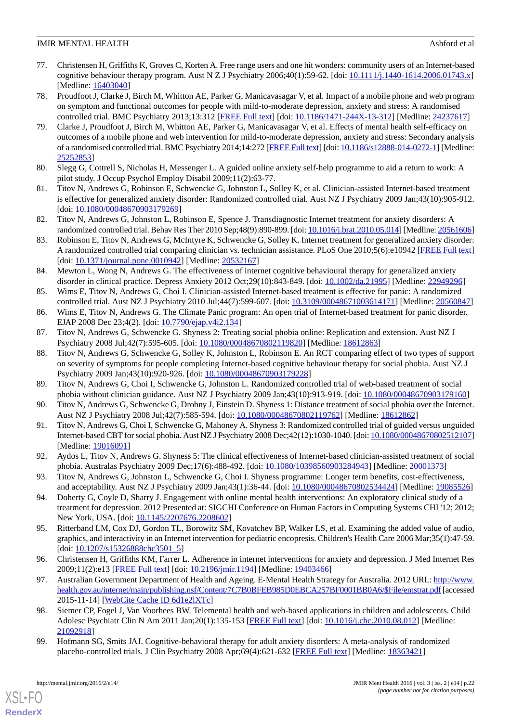- <span id="page-22-0"></span>77. Christensen H, Griffiths K, Groves C, Korten A. Free range users and one hit wonders: community users of an Internet-based cognitive behaviour therapy program. Aust N Z J Psychiatry 2006;40(1):59-62. [doi:  $10.1111/j.1440-1614.2006.01743.x$ ] [Medline: [16403040](http://www.ncbi.nlm.nih.gov/entrez/query.fcgi?cmd=Retrieve&db=PubMed&list_uids=16403040&dopt=Abstract)]
- <span id="page-22-1"></span>78. Proudfoot J, Clarke J, Birch M, Whitton AE, Parker G, Manicavasagar V, et al. Impact of a mobile phone and web program on symptom and functional outcomes for people with mild-to-moderate depression, anxiety and stress: A randomised controlled trial. BMC Psychiatry 2013;13:312 [\[FREE Full text\]](http://www.biomedcentral.com/1471-244X/13/312) [doi: [10.1186/1471-244X-13-312\]](http://dx.doi.org/10.1186/1471-244X-13-312) [Medline: [24237617](http://www.ncbi.nlm.nih.gov/entrez/query.fcgi?cmd=Retrieve&db=PubMed&list_uids=24237617&dopt=Abstract)]
- <span id="page-22-2"></span>79. Clarke J, Proudfoot J, Birch M, Whitton AE, Parker G, Manicavasagar V, et al. Effects of mental health self-efficacy on outcomes of a mobile phone and web intervention for mild-to-moderate depression, anxiety and stress: Secondary analysis of a randomised controlled trial. BMC Psychiatry 2014;14:272 [[FREE Full text\]](http://www.biomedcentral.com/1471-244X/14/272) [doi: [10.1186/s12888-014-0272-1\]](http://dx.doi.org/10.1186/s12888-014-0272-1) [Medline: [25252853](http://www.ncbi.nlm.nih.gov/entrez/query.fcgi?cmd=Retrieve&db=PubMed&list_uids=25252853&dopt=Abstract)]
- <span id="page-22-4"></span><span id="page-22-3"></span>80. Slegg G, Cottrell S, Nicholas H, Messenger L. A guided online anxiety self-help programme to aid a return to work: A pilot study. J Occup Psychol Employ Disabil 2009;11(2):63-77.
- <span id="page-22-13"></span>81. Titov N, Andrews G, Robinson E, Schwencke G, Johnston L, Solley K, et al. Clinician-assisted Internet-based treatment is effective for generalized anxiety disorder: Randomized controlled trial. Aust NZ J Psychiatry 2009 Jan;43(10):905-912. [doi: [10.1080/00048670903179269](http://dx.doi.org/10.1080/00048670903179269)]
- <span id="page-22-5"></span>82. Titov N, Andrews G, Johnston L, Robinson E, Spence J. Transdiagnostic Internet treatment for anxiety disorders: A randomized controlled trial. Behav Res Ther 2010 Sep;48(9):890-899. [doi: [10.1016/j.brat.2010.05.014\]](http://dx.doi.org/10.1016/j.brat.2010.05.014) [Medline: [20561606\]](http://www.ncbi.nlm.nih.gov/entrez/query.fcgi?cmd=Retrieve&db=PubMed&list_uids=20561606&dopt=Abstract)
- <span id="page-22-6"></span>83. Robinson E, Titov N, Andrews G, McIntyre K, Schwencke G, Solley K. Internet treatment for generalized anxiety disorder: A randomized controlled trial comparing clinician vs. technician assistance. PLoS One 2010;5(6):e10942 [[FREE Full text](http://dx.plos.org/10.1371/journal.pone.0010942)] [doi: [10.1371/journal.pone.0010942\]](http://dx.doi.org/10.1371/journal.pone.0010942) [Medline: [20532167\]](http://www.ncbi.nlm.nih.gov/entrez/query.fcgi?cmd=Retrieve&db=PubMed&list_uids=20532167&dopt=Abstract)
- <span id="page-22-8"></span><span id="page-22-7"></span>84. Mewton L, Wong N, Andrews G. The effectiveness of internet cognitive behavioural therapy for generalized anxiety disorder in clinical practice. Depress Anxiety 2012 Oct;29(10):843-849. [doi: [10.1002/da.21995](http://dx.doi.org/10.1002/da.21995)] [Medline: [22949296\]](http://www.ncbi.nlm.nih.gov/entrez/query.fcgi?cmd=Retrieve&db=PubMed&list_uids=22949296&dopt=Abstract)
- <span id="page-22-9"></span>85. Wims E, Titov N, Andrews G, Choi I. Clinician-assisted Internet-based treatment is effective for panic: A randomized controlled trial. Aust NZ J Psychiatry 2010 Jul;44(7):599-607. [doi: [10.3109/00048671003614171](http://dx.doi.org/10.3109/00048671003614171)] [Medline: [20560847](http://www.ncbi.nlm.nih.gov/entrez/query.fcgi?cmd=Retrieve&db=PubMed&list_uids=20560847&dopt=Abstract)]
- 86. Wims E, Titov N, Andrews G. The Climate Panic program: An open trial of Internet-based treatment for panic disorder. EJAP 2008 Dec 23;4(2). [doi: [10.7790/ejap.v4i2.134\]](http://dx.doi.org/10.7790/ejap.v4i2.134)
- 87. Titov N, Andrews G, Schwencke G. Shyness 2: Treating social phobia online: Replication and extension. Aust NZ J Psychiatry 2008 Jul;42(7):595-605. [doi: [10.1080/00048670802119820\]](http://dx.doi.org/10.1080/00048670802119820) [Medline: [18612863](http://www.ncbi.nlm.nih.gov/entrez/query.fcgi?cmd=Retrieve&db=PubMed&list_uids=18612863&dopt=Abstract)]
- 88. Titov N, Andrews G, Schwencke G, Solley K, Johnston L, Robinson E. An RCT comparing effect of two types of support on severity of symptoms for people completing Internet-based cognitive behaviour therapy for social phobia. Aust NZ J Psychiatry 2009 Jan;43(10):920-926. [doi: [10.1080/00048670903179228](http://dx.doi.org/10.1080/00048670903179228)]
- <span id="page-22-10"></span>89. Titov N, Andrews G, Choi I, Schwencke G, Johnston L. Randomized controlled trial of web-based treatment of social phobia without clinician guidance. Aust NZ J Psychiatry 2009 Jan;43(10):913-919. [doi: [10.1080/00048670903179160\]](http://dx.doi.org/10.1080/00048670903179160)
- <span id="page-22-11"></span>90. Titov N, Andrews G, Schwencke G, Drobny J, Einstein D. Shyness 1: Distance treatment of social phobia over the Internet. Aust NZ J Psychiatry 2008 Jul;42(7):585-594. [doi: [10.1080/00048670802119762](http://dx.doi.org/10.1080/00048670802119762)] [Medline: [18612862](http://www.ncbi.nlm.nih.gov/entrez/query.fcgi?cmd=Retrieve&db=PubMed&list_uids=18612862&dopt=Abstract)]
- <span id="page-22-12"></span>91. Titov N, Andrews G, Choi I, Schwencke G, Mahoney A. Shyness 3: Randomized controlled trial of guided versus unguided Internet-based CBT for social phobia. Aust NZ J Psychiatry 2008 Dec;42(12):1030-1040. [doi: [10.1080/00048670802512107\]](http://dx.doi.org/10.1080/00048670802512107) [Medline: [19016091](http://www.ncbi.nlm.nih.gov/entrez/query.fcgi?cmd=Retrieve&db=PubMed&list_uids=19016091&dopt=Abstract)]
- <span id="page-22-14"></span>92. Aydos L, Titov N, Andrews G. Shyness 5: The clinical effectiveness of Internet-based clinician-assisted treatment of social phobia. Australas Psychiatry 2009 Dec;17(6):488-492. [doi: [10.1080/10398560903284943\]](http://dx.doi.org/10.1080/10398560903284943) [Medline: [20001373](http://www.ncbi.nlm.nih.gov/entrez/query.fcgi?cmd=Retrieve&db=PubMed&list_uids=20001373&dopt=Abstract)]
- <span id="page-22-15"></span>93. Titov N, Andrews G, Johnston L, Schwencke G, Choi I. Shyness programme: Longer term benefits, cost-effectiveness, and acceptability. Aust NZ J Psychiatry 2009 Jan;43(1):36-44. [doi: [10.1080/00048670802534424](http://dx.doi.org/10.1080/00048670802534424)] [Medline: [19085526](http://www.ncbi.nlm.nih.gov/entrez/query.fcgi?cmd=Retrieve&db=PubMed&list_uids=19085526&dopt=Abstract)]
- <span id="page-22-16"></span>94. Doherty G, Coyle D, Sharry J. Engagement with online mental health interventions: An exploratory clinical study of a treatment for depression. 2012 Presented at: SIGCHI Conference on Human Factors in Computing Systems CHI '12; 2012; New York, USA. [doi: [10.1145/2207676.2208602](http://dx.doi.org/10.1145/2207676.2208602)]
- <span id="page-22-17"></span>95. Ritterband LM, Cox DJ, Gordon TL, Borowitz SM, Kovatchev BP, Walker LS, et al. Examining the added value of audio, graphics, and interactivity in an Internet intervention for pediatric encopresis. Children's Health Care 2006 Mar;35(1):47-59. [doi: [10.1207/s15326888chc3501\\_5\]](http://dx.doi.org/10.1207/s15326888chc3501_5)
- <span id="page-22-18"></span>96. Christensen H, Griffiths KM, Farrer L. Adherence in internet interventions for anxiety and depression. J Med Internet Res 2009;11(2):e13 [\[FREE Full text](http://www.jmir.org/2009/2/e13/)] [doi: [10.2196/jmir.1194\]](http://dx.doi.org/10.2196/jmir.1194) [Medline: [19403466](http://www.ncbi.nlm.nih.gov/entrez/query.fcgi?cmd=Retrieve&db=PubMed&list_uids=19403466&dopt=Abstract)]
- <span id="page-22-19"></span>97. Australian Government Department of Health and Ageing. E-Mental Health Strategy for Australia. 2012 URL: [http://www.](http://www.health.gov.au/internet/main/publishing.nsf/Content/7C7B0BFEB985D0EBCA257BF0001BB0A6/$File/emstrat.pdf) [health.gov.au/internet/main/publishing.nsf/Content/7C7B0BFEB985D0EBCA257BF0001BB0A6/\\$File/emstrat.pdf](http://www.health.gov.au/internet/main/publishing.nsf/Content/7C7B0BFEB985D0EBCA257BF0001BB0A6/$File/emstrat.pdf) [accessed 2015-11-14] [\[WebCite Cache ID 6d1e2lXTc](http://www.webcitation.org/6d1e2lXTc)]
- 98. Siemer CP, Fogel J, Van Voorhees BW. Telemental health and web-based applications in children and adolescents. Child Adolesc Psychiatr Clin N Am 2011 Jan;20(1):135-153 [[FREE Full text](http://europepmc.org/abstract/MED/21092918)] [doi: [10.1016/j.chc.2010.08.012](http://dx.doi.org/10.1016/j.chc.2010.08.012)] [Medline: [21092918](http://www.ncbi.nlm.nih.gov/entrez/query.fcgi?cmd=Retrieve&db=PubMed&list_uids=21092918&dopt=Abstract)]
- 99. Hofmann SG, Smits JAJ. Cognitive-behavioral therapy for adult anxiety disorders: A meta-analysis of randomized placebo-controlled trials. J Clin Psychiatry 2008 Apr;69(4):621-632 [\[FREE Full text\]](http://europepmc.org/abstract/MED/18363421) [Medline: [18363421](http://www.ncbi.nlm.nih.gov/entrez/query.fcgi?cmd=Retrieve&db=PubMed&list_uids=18363421&dopt=Abstract)]